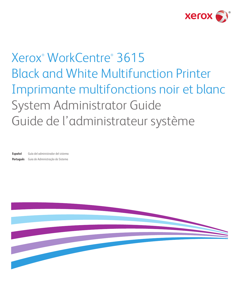

# Xerox® WorkCentre® 3615 Black and White Multifunction Printer Imprimante multifonctions noir et blanc System Administrator Guide Guide de l'administrateur système

**Español** Guía del administrador del sistema **Português** Guia de Administração do Sistema

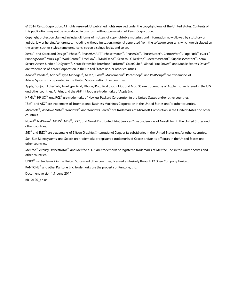© 2014 Xerox Corporation. All rights reserved. Unpublished rights reserved under the copyright laws of the United States. Contents of this publication may not be reproduced in any form without permission of Xerox Corporation.

Copyright protection claimed includes all forms of matters of copyrightable materials and information now allowed by statutory or judicial law or hereinafter granted, including without limitation, material generated from the software programs which are displayed on the screen such as styles, templates, icons, screen displays, looks, and so on.

Xerox® and Xerox and Design®, Phaser®, PhaserSMART®, PhaserMatch®, PhaserCal®, PhaserMeter™, CentreWare®, PagePack®, eClick®, PrintingScout®, Walk-Up®, WorkCentre®, FreeFlow®, SMARTsend®, Scan to PC Desktop®, MeterAssistant®, SuppliesAssistant®, Xerox Secure Access Unified ID System®, Xerox Extensible Interface Platform®, ColorQube®, Global Print Driver®, and Mobile Express Driver® are trademarks of Xerox Corporation in the United States and/or other countries.

Adobe® Reader®, Adobe® Type Manager®, ATM™, Flash®, Macromedia®, Photoshop®, and PostScript® are trademarks of Adobe Systems Incorporated in the United States and/or other countries.

Apple, Bonjour, EtherTalk, TrueType, iPad, iPhone, iPod, iPod touch, Mac and Mac OS are trademarks of Apple Inc., registered in the U.S. and other countries. AirPrint and the AirPrint logo are trademarks of Apple Inc.

HP-GL<sup>®</sup>. HP-UX<sup>®</sup>, and PCL<sup>®</sup> are trademarks of Hewlett-Packard Corporation in the United States and/or other countries.

 $IBM^{\circ}$  and AIX $^{\circ}$  are trademarks of International Business Machines Corporation in the United States and/or other countries.

Microsoft<sup>®</sup>, Windows Vista®, Windows®, and Windows Server® are trademarks of Microsoft Corporation in the United States and other countries.

Novell<sup>®</sup>, NetWare®, NDPS®, NDS®, IPX™, and Novell Distributed Print Services™ are trademarks of Novell, Inc. in the United States and other countries.

 $SGI^{\circ}$  and IRIX $^{\circ}$  are trademarks of Silicon Graphics International Corp. or its subsidiaries in the United States and/or other countries.

Sun, Sun Microsystems, and Solaris are trademarks or registered trademarks of Oracle and/or its affiliates in the United States and other countries.

McAfee®, ePolicy Orchestrator®, and McAfee ePO™ are trademarks or registered trademarks of McAfee, Inc. in the United States and other countries.

UNIX<sup>®</sup> is a trademark in the United States and other countries, licensed exclusively through X/ Open Company Limited.

PANTONE® and other Pantone, Inc. trademarks are the property of Pantone, Inc.

Document version 1.1: June 2014

BR10120\_en-us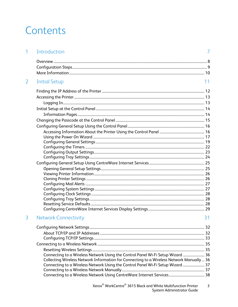### Contents

|   | Introduction                                                                              |    |
|---|-------------------------------------------------------------------------------------------|----|
|   |                                                                                           |    |
|   |                                                                                           |    |
|   |                                                                                           |    |
| 2 | <b>Initial Setup</b>                                                                      | 11 |
|   |                                                                                           |    |
|   |                                                                                           |    |
|   |                                                                                           |    |
|   |                                                                                           |    |
|   |                                                                                           |    |
|   |                                                                                           |    |
|   |                                                                                           |    |
|   |                                                                                           |    |
|   |                                                                                           |    |
|   |                                                                                           |    |
|   |                                                                                           |    |
|   |                                                                                           |    |
|   |                                                                                           |    |
|   |                                                                                           |    |
|   |                                                                                           |    |
|   |                                                                                           |    |
|   |                                                                                           |    |
|   |                                                                                           |    |
|   |                                                                                           |    |
|   |                                                                                           |    |
|   |                                                                                           |    |
| 3 | <b>Network Connectivity</b>                                                               | 31 |
|   |                                                                                           |    |
|   |                                                                                           |    |
|   |                                                                                           |    |
|   |                                                                                           |    |
|   |                                                                                           |    |
|   | Connecting to a Wireless Network Using the Control Panel Wi-Fi Setup Wizard  36           |    |
|   | Collecting Wireless Network Information for Connecting to a Wireless Network Manually  36 |    |
|   | Connecting to a Wireless Network Using the Control Panel Wi-Fi Setup Wizard  37           |    |
|   |                                                                                           |    |
|   |                                                                                           |    |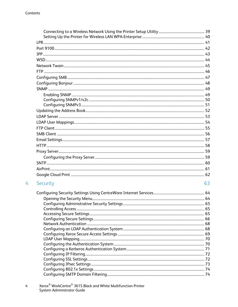$\overline{4}$ 

| Security | 63 |
|----------|----|
|          |    |
|          |    |
|          |    |
|          |    |
|          |    |
|          |    |
|          |    |
|          |    |
|          |    |
|          |    |
|          |    |
|          |    |
|          |    |
|          |    |
|          |    |
|          |    |

Xerox $^\circledast$  WorkCentre $^\circledast$  3615 Black and White Multifunction Printer<br>System Administrator Guide  $\mathbf{4}$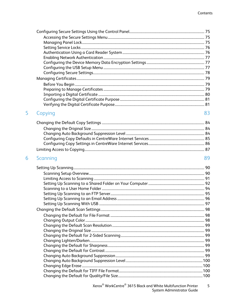| Copying  | 83 |
|----------|----|
|          |    |
|          |    |
|          |    |
|          |    |
|          |    |
|          |    |
|          |    |
| Scanning | 89 |
|          |    |
|          |    |
|          |    |
|          |    |
|          |    |
|          |    |
|          |    |
|          |    |
|          |    |
|          |    |
|          |    |
|          |    |
|          |    |
|          |    |
|          |    |
|          |    |
|          |    |
|          |    |
|          |    |
|          |    |
|          |    |
|          |    |

5

6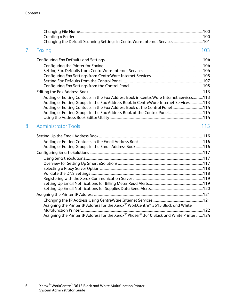| 7 | Faxing                                                                                  | 103 |
|---|-----------------------------------------------------------------------------------------|-----|
|   |                                                                                         |     |
|   |                                                                                         |     |
|   |                                                                                         |     |
|   |                                                                                         |     |
|   |                                                                                         |     |
|   |                                                                                         |     |
|   |                                                                                         |     |
|   | Adding or Editing Contacts in the Fax Address Book in CentreWare Internet Services113   |     |
|   | Adding or Editing Groups in the Fax Address Book in CentreWare Internet Services113     |     |
|   | Adding or Editing Contacts in the Fax Address Book at the Control Panel  114            |     |
|   |                                                                                         |     |
|   |                                                                                         |     |
| 8 | <b>Administrator Tools</b>                                                              | 115 |
|   |                                                                                         |     |
|   |                                                                                         |     |
|   |                                                                                         |     |
|   |                                                                                         |     |
|   |                                                                                         |     |
|   |                                                                                         |     |
|   |                                                                                         |     |
|   |                                                                                         |     |
|   |                                                                                         |     |
|   |                                                                                         |     |
|   |                                                                                         |     |
|   |                                                                                         |     |
|   |                                                                                         |     |
|   | Assigning the Printer IP Address for the Xerox® WorkCentre® 3615 Black and White        |     |
|   |                                                                                         |     |
|   | Assigning the Printer IP Address for the Xerox® Phaser® 3610 Black and White Printer124 |     |
|   |                                                                                         |     |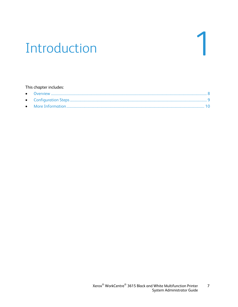## Introduction

#### This chapter includes: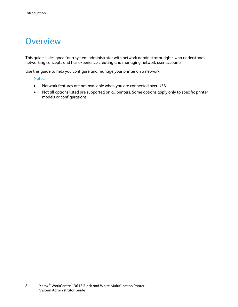### <span id="page-7-0"></span>**Overview**

This guide is designed for a system administrator with network administrator rights who understands networking concepts and has experience creating and managing network user accounts.

Use this guide to help you configure and manage your printer on a network.

Notes:

- Network features are not available when you are connected over USB.
- Not all options listed are supported on all printers. Some options apply only to specific printer models or configurations.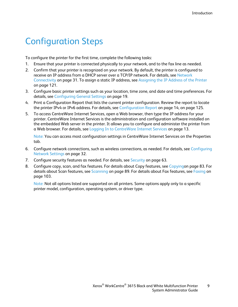### <span id="page-8-0"></span>Configuration Steps

To configure the printer for the first time, complete the following tasks:

- 1. Ensure that your printer is connected physically to your network, and to the fax line as needed.
- 2. Confirm that your printer is recognized on your network. By default, the printer is configured to receive an IP address from a DHCP server over a TCP/IP network. For details, see Network Connectivity on page [31.](#page-30-0) To assign a static IP address, see Assigning the IP Address of the Printer on page [121.](#page-120-0)
- 3. Configure basic printer settings such as your location, time zone, and date and time preferences. For details, see Configuring General Settings on page [19.](#page-18-0)
- 4. Print a Configuration Report that lists the current printer configuration. Review the report to locate the printer IPv4 or IPv6 address. For details, see Configuration Report on page [14,](#page-13-0) on page [125.](#page-124-0)
- 5. To access CentreWare Internet Services, open a Web browser, then type the IP address for your printer. CentreWare Internet Services is the administration and configuration software installed on the embedded Web server in the printer. It allows you to configure and administer the printer from a Web browser. For details, see Logging In to CentreWare Internet Services on page [13.](#page-12-0)

Note: You can access most configuration settings in CentreWare Internet Services on the Properties tab.

- 6. Configure network connections, such as wireless connections, as needed. For details, see Configuring Network Settings on page [32.](#page-31-0)
- 7. Configure security features as needed. For details, see Security on page [63.](#page-62-0)
- 8. Configure copy, scan, and fax features. For details about Copy features, see Copyingon page [83.](#page-82-0) For details about Scan features, see Scanning on pag[e 89.](#page-88-0) For details about Fax features, see Faxing on pag[e 103.](#page-102-0)

Note: Not all options listed are supported on all printers. Some options apply only to a specific printer model, configuration, operating system, or driver type.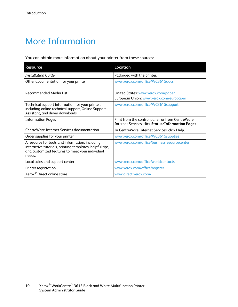### <span id="page-9-0"></span>More Information

You can obtain more information about your printer from these sources:

| <b>Resource</b>                                                                                                                                                          | Location                                                                                                         |
|--------------------------------------------------------------------------------------------------------------------------------------------------------------------------|------------------------------------------------------------------------------------------------------------------|
| <b>Installation Guide</b>                                                                                                                                                | Packaged with the printer.                                                                                       |
| Other documentation for your printer                                                                                                                                     | www.xerox.com/office/WC3615docs                                                                                  |
| Recommended Media List                                                                                                                                                   | United States: www.xerox.com/paper                                                                               |
|                                                                                                                                                                          | European Union: www.xerox.com/europaper                                                                          |
| Technical support information for your printer;<br>including online technical support, Online Support<br>Assistant, and driver downloads.                                | www.xerox.com/office/WC3615support                                                                               |
| <b>Information Pages</b>                                                                                                                                                 | Print from the control panel, or from CentreWare<br><b>Internet Services, click Status&gt;Information Pages.</b> |
| CentreWare Internet Services documentation                                                                                                                               | In CentreWare Internet Services, click Help.                                                                     |
| Order supplies for your printer                                                                                                                                          | www.xerox.com/office/WC3615supplies                                                                              |
| A resource for tools and information, including<br>interactive tutorials, printing templates, helpful tips,<br>and customized features to meet your individual<br>needs. | www.xerox.com/office/businessresourcecenter                                                                      |
| Local sales and support center                                                                                                                                           | www.xerox.com/office/worldcontacts                                                                               |
| Printer registration                                                                                                                                                     | www.xerox.com/office/register                                                                                    |
| Xerox <sup>®</sup> Direct online store                                                                                                                                   | www.direct.xerox.com/                                                                                            |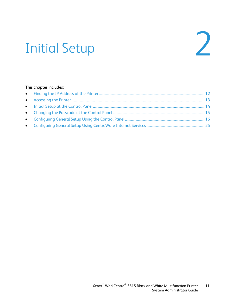# Initial Setup 2

#### This chapter includes: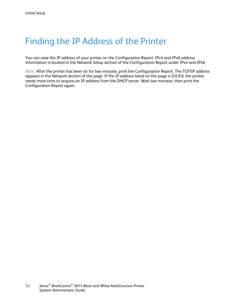### <span id="page-11-0"></span>Finding the IP Address of the Printer

You can view the IP address of your printer on the Configuration Report. IPv4 and IPv6 address information is located in the Network Setup section of the Configuration Report under IPv4 and IPv6.

Note: After the printer has been on for two minutes, print the Configuration Report. The TCP/IP address appears in the Network section of the page. If the IP address listed on the page is 0.0.0.0, the printer needs more time to acquire an IP address from the DHCP server. Wait two minutes, then print the Configuration Report again.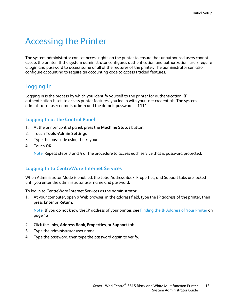### <span id="page-12-1"></span>Accessing the Printer

The system administrator can set access rights on the printer to ensure that unauthorized users cannot access the printer. If the system administrator configures authentication and authorization, users require a login and password to access some or all of the features of the printer. The administrator can also configure accounting to require an accounting code to access tracked features.

#### Logging In

Logging in is the process by which you identify yourself to the printer for authentication. If authentication is set, to access printer features, you log in with your user credentials. The system administrator user name is **admin** and the default password is **1111**.

#### **Logging In at the Control Panel**

- 1. At the printer control panel, press the **Machine Status** button.
- 2. Touch **Tools**>**Admin Settings**.
- 3. Type the passcode using the keypad.
- 4. Touch **OK**.

Note: Repeat steps 3 and 4 of the procedure to access each service that is password protected.

#### <span id="page-12-0"></span>**Logging In to CentreWare Internet Services**

When Administrator Mode is enabled, the Jobs, Address Book, Properties, and Support tabs are locked until you enter the administrator user name and password.

To log in to CentreWare Internet Services as the administrator:

1. At your computer, open a Web browser, in the address field, type the IP address of the printer, then press **Enter** or **Return**.

Note: If you do not know the IP address of your printer, see Finding the IP Address of Your Printer on pag[e 12.](#page-11-0)

- 2. Click the **Jobs**, **Address Book**, **Properties**, or **Support** tab.
- 3. Type the administrator user name.
- 4. Type the password, then type the password again to verify.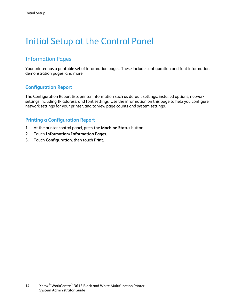### <span id="page-13-1"></span>Initial Setup at the Control Panel

#### Information Pages

Your printer has a printable set of information pages. These include configuration and font information, demonstration pages, and more.

#### <span id="page-13-0"></span>**Configuration Report**

The Configuration Report lists printer information such as default settings, installed options, network settings including IP address, and font settings. Use the information on this page to help you configure network settings for your printer, and to view page counts and system settings.

#### **Printing a Configuration Report**

- 1. At the printer control panel, press the **Machine Status** button.
- 2. Touch **Information**>**Information Pages**.
- 3. Touch **Configuration**, then touch **Print**.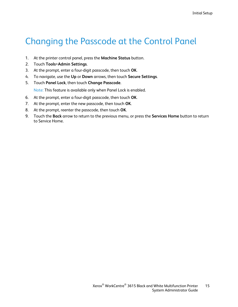### <span id="page-14-0"></span>Changing the Passcode at the Control Panel

- 1. At the printer control panel, press the **Machine Status** button.
- 2. Touch **Tools**>**Admin Settings**.
- 3. At the prompt, enter a four-digit passcode, then touch **OK**.
- 4. To navigate, use the **Up** or **Down** arrows, then touch **Secure Settings**.
- 5. Touch **Panel Lock**, then touch **Change Passcode**.

Note: This feature is available only when Panel Lock is enabled.

- 6. At the prompt, enter a four-digit passcode, then touch **OK**.
- 7. At the prompt, enter the new passcode, then touch **OK**.
- 8. At the prompt, reenter the passcode, then touch **OK**.
- 9. Touch the **Back** arrow to return to the previous menu, or press the **Services Home** button to return to Service Home.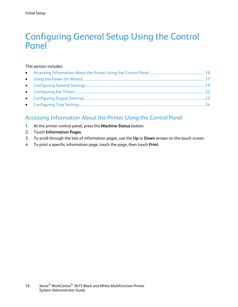### <span id="page-15-0"></span>Configuring General Setup Using the Control Panel

#### This section includes:

#### <span id="page-15-1"></span>Accessing Information About the Printer Using the Control Panel

- 1. At the printer control panel, press the **Machine Status** button.
- 2. Touch **Information Pages**.
- 3. To scroll through the lists of information pages, use the **Up** or **Down** arrows on the touch screen.
- 4. To print a specific information page, touch the page, then touch **Print**.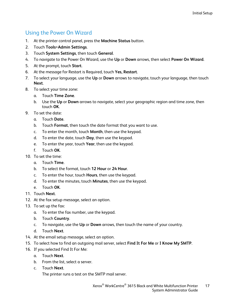#### Using the Power On Wizard

- <span id="page-16-0"></span>1. At the printer control panel, press the **Machine Status** button.
- 2. Touch **Tools**>**Admin Settings**.
- 3. Touch **System Settings**, then touch **General**.
- 4. To navigate to the Power On Wizard, use the **Up** or **Down** arrows, then select **Power On Wizard**.
- 5. At the prompt, touch **Start**.
- 6. At the message for Restart is Required, touch **Yes, Restart**.
- 7. To select your language, use the **Up** or **Down** arrows to navigate, touch your language, then touch **Next**.
- 8. To select your time zone:
	- a. Touch **Time Zone**.
	- b. Use the **Up** or **Down** arrows to navigate, select your geographic region and time zone, then touch **OK**.
- 9. To set the date:
	- a. Touch **Date**.
	- b. Touch **Format**, then touch the date format that you want to use.
	- c. To enter the month, touch **Month**, then use the keypad.
	- d. To enter the date, touch **Day**, then use the keypad.
	- e. To enter the year, touch **Year**, then use the keypad.
	- f. Touch **OK**.
- 10. To set the time:
	- a. Touch **Time**.
	- b. To select the format, touch **12 Hour** or **24 Hour**.
	- c. To enter the hour, touch **Hours**, then use the keypad.
	- d. To enter the minutes, touch **Minutes**, then use the keypad.
	- e. Touch **OK**.
- 11. Touch **Next**.
- 12. At the fax setup message, select an option.
- 13. To set up the fax:
	- a. To enter the fax number, use the keypad.
	- b. Touch **Country**.
	- c. To navigate, use the **Up** or **Down** arrows, then touch the name of your country.
	- d. Touch **Next**.
- 14. At the email setup message, select an option.
- 15. To select how to find an outgoing mail server, select **Find It For Me** or **I Know My SMTP**.
- 16. If you selected Find It For Me:
	- a. Touch **Next**.
	- b. From the list, select a server.
	- c. Touch **Next**.

The printer runs a test on the SMTP mail server.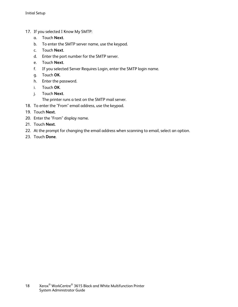- 17. If you selected I Know My SMTP:
	- a. Touch **Next**.
	- b. To enter the SMTP server name, use the keypad.
	- c. Touch **Next**.
	- d. Enter the port number for the SMTP server.
	- e. Touch **Next**.
	- f. If you selected Server Requires Login, enter the SMTP login name.
	- g. Touch **OK**.
	- h. Enter the password.
	- i. Touch **OK**.
	- j. Touch **Next**.

The printer runs a test on the SMTP mail server.

- 18. To enter the "From" email address, use the keypad.
- 19. Touch **Next**.
- 20. Enter the "From" display name.
- 21. Touch **Next**.
- 22. At the prompt for changing the email address when scanning to email, select an option.
- 23. Touch **Done**.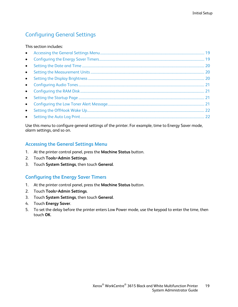#### <span id="page-18-0"></span>Configuring General Settings

#### This section includes:

| $\bullet$ |  |
|-----------|--|
| $\bullet$ |  |
| $\bullet$ |  |
|           |  |
|           |  |
|           |  |
| $\bullet$ |  |
| $\bullet$ |  |
|           |  |

Use this menu to configure general settings of the printer. For example, time to Energy Saver mode, alarm settings, and so on.

#### <span id="page-18-1"></span>**Accessing the General Settings Menu**

- 1. At the printer control panel, press the **Machine Status** button.
- 2. Touch **Tools**>**Admin Settings**.
- <span id="page-18-2"></span>3. Touch **System Settings**, then touch **General**.

#### **Configuring the Energy Saver Timers**

- 1. At the printer control panel, press the **Machine Status** button.
- 2. Touch **Tools**>**Admin Settings**.
- 3. Touch **System Settings**, then touch **General**.
- 4. Touch **Energy Saver**.
- 5. To set the delay before the printer enters Low Power mode, use the keypad to enter the time, then touch **OK**.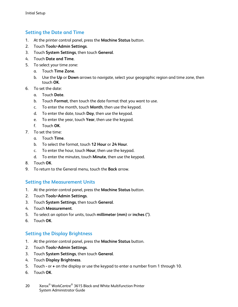#### **Setting the Date and Time**

- <span id="page-19-0"></span>1. At the printer control panel, press the **Machine Status** button.
- 2. Touch **Tools**>**Admin Settings**.
- 3. Touch **System Settings**, then touch **General**.
- 4. Touch **Date and Time**.
- 5. To select your time zone:
	- a. Touch **Time Zone**.
	- b. Use the **Up** or **Down** arrows to navigate, select your geographic region and time zone, then touch **OK**.
- 6. To set the date:
	- a. Touch **Date**.
	- b. Touch **Format**, then touch the date format that you want to use.
	- c. To enter the month, touch **Month**, then use the keypad.
	- d. To enter the date, touch **Day**, then use the keypad.
	- e. To enter the year, touch **Year**, then use the keypad.
	- f. Touch **OK**.
- 7. To set the time:
	- a. Touch **Time**.
	- b. To select the format, touch **12 Hour** or **24 Hour**.
	- c. To enter the hour, touch **Hour**, then use the keypad.
	- d. To enter the minutes, touch **Minute**, then use the keypad.
- 8. Touch **OK**.
- <span id="page-19-1"></span>9. To return to the General menu, touch the **Back** arrow.

#### **Setting the Measurement Units**

- 1. At the printer control panel, press the **Machine Status** button.
- 2. Touch **Tools**>**Admin Settings**.
- 3. Touch **System Settings**, then touch **General**.
- 4. Touch **Measurement**.
- 5. To select an option for units, touch **millimeter (mm)** or **inches (")**.
- <span id="page-19-2"></span>6. Touch **OK**.

#### **Setting the Display Brightness**

- 1. At the printer control panel, press the **Machine Status** button.
- 2. Touch **Tools**>**Admin Settings**.
- 3. Touch **System Settings**, then touch **General**.
- 4. Touch **Display Brightness**.
- 5. Touch **-** or **+** on the display or use the keypad to enter a number from 1 through 10.
- 6. Touch **OK**.
- 20 Xerox<sup>®</sup> WorkCentre<sup>®</sup> 3615 Black and White Multifunction Printer System Administrator Guide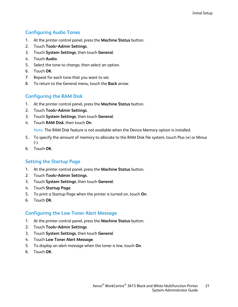#### **Configuring Audio Tones**

- <span id="page-20-0"></span>1. At the printer control panel, press the **Machine Status** button.
- 2. Touch **Tools**>**Admin Settings**.
- 3. Touch **System Settings**, then touch **General**.
- 4. Touch **Audio**.
- 5. Select the tone to change, then select an option.
- 6. Touch **OK**.
- 7. Repeat for each tone that you want to set.
- <span id="page-20-1"></span>8. To return to the General menu, touch the **Back** arrow.

#### **Configuring the RAM Disk**

- 1. At the printer control panel, press the **Machine Status** button.
- 2. Touch **Tools**>**Admin Settings**.
- 3. Touch **System Settings**, then touch **General**.
- 4. Touch **RAM Disk**, then touch **On**.

Note: The RAM Disk feature is not available when the Device Memory option is installed.

- 5. To specify the amount of memory to allocate to the RAM Disk file system, touch Plus (**+**) or Minus (**-**).
- <span id="page-20-2"></span>6. Touch **OK**.

#### **Setting the Startup Page**

- 1. At the printer control panel, press the **Machine Status** button.
- 2. Touch **Tools**>**Admin Settings**.
- 3. Touch **System Settings**, then touch **General**.
- 4. Touch **Startup Page**.
- 5. To print a Startup Page when the printer is turned on, touch **On**.
- <span id="page-20-3"></span>6. Touch **OK**.

#### **Configuring the Low Toner Alert Message**

- 1. At the printer control panel, press the **Machine Status** button.
- 2. Touch **Tools**>**Admin Settings**.
- 3. Touch **System Settings**, then touch **General**.
- 4. Touch **Low Toner Alert Message**.
- 5. To display an alert message when the toner is low, touch **On**.
- 6. Touch **OK**.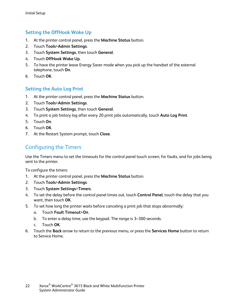#### **Setting the OffHook Wake Up**

- <span id="page-21-1"></span>1. At the printer control panel, press the **Machine Status** button.
- 2. Touch **Tools**>**Admin Settings**.
- 3. Touch **System Settings**, then touch **General**.
- 4. Touch **OffHook Wake Up**.
- 5. To have the printer leave Energy Saver mode when you pick up the handset of the external telephone, touch **On**.
- <span id="page-21-2"></span>6. Touch **OK**.

#### **Setting the Auto Log Print**

- 1. At the printer control panel, press the **Machine Status** button.
- 2. Touch **Tools**>**Admin Settings**.
- 3. Touch **System Settings**, then touch **General**.
- 4. To print a job history log after every 20 print jobs automatically, touch **Auto Log Print**.
- 5. Touch **On**.
- 6. Touch **OK**.
- <span id="page-21-0"></span>7. At the Restart System prompt, touch **Close**.

#### Configuring the Timers

Use the Timers menu to set the timeouts for the control panel touch screen, for faults, and for jobs being sent to the printer.

To configure the timers:

- 1. At the printer control panel, press the **Machine Status** button.
- 2. Touch **Tools**>**Admin Settings**.
- 3. Touch **System Settings**>**Timers**.
- 4. To set the delay before the control panel times out, touch **Control Panel**, touch the delay that you want, then touch **OK**.
- 5. To set how long the printer waits before canceling a print job that stops abnormally:
	- a. Touch **Fault Timeout**>**On**.
	- b. To enter a delay time, use the keypad. The range is 3–300 seconds.
	- c. Touch **OK**.
- 6. Touch the **Back** arrow to return to the previous menu, or press the **Services Home** button to return to Service Home.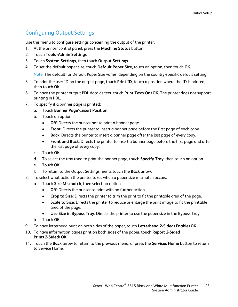#### Configuring Output Settings

<span id="page-22-0"></span>Use this menu to configure settings concerning the output of the printer.

- 1. At the printer control panel, press the **Machine Status** button.
- 2. Touch **Tools**>**Admin Settings**.
- 3. Touch **System Settings**, then touch **Output Settings**.
- 4. To set the default paper size, touch **Default Paper Size**, touch an option, then touch **OK**. Note: The default for Default Paper Size varies, depending on the country-specific default setting.
- 5. To print the user ID on the output page, touch **Print ID**, touch a position where the ID is printed, then touch **OK**.
- 6. To have the printer output PDL data as text, touch **Print Text**>**On**>**OK**. The printer does not support printing in PDL.
- 7. To specify if a banner page is printed:
	- a. Touch **Banner Page**>**Insert Position**.
	- b. Touch an option:
		- **Off:** Directs the printer not to print a banner page.
		- **Front**: Directs the printer to insert a banner page before the first page of each copy.
		- **Back**: Directs the printer to insert a banner page after the last page of every copy.
		- **Front and Back**: Directs the printer to insert a banner page before the first page and after the last page of every copy.
	- c. Touch **OK**.
	- d. To select the tray used to print the banner page, touch **Specify Tray**, then touch an option.
	- e. Touch **OK**.
	- f. To return to the Output Settings menu, touch the **Back** arrow.
- 8. To select what action the printer takes when a paper size mismatch occurs:
	- a. Touch **Size Mismatch**, then select an option.
		- **Off**: Directs the printer to print with no further action.
		- **Crop to Size**: Directs the printer to trim the print to fit the printable area of the page.
		- **Scale to Size**: Directs the printer to reduce or enlarge the print image to fit the printable area of the page.
		- **Use Size in Bypass Tray**: Directs the printer to use the paper size in the Bypass Tray.
	- b. Touch **OK**.
- 9. To have letterhead print on both sides of the paper, touch **Letterhead 2-Sided**>**Enable**>**OK**.
- 10. To have information pages print on both sides of the paper, touch **Report 2-Sided Print**>**2-Sided**>**OK**.
- 11. Touch the **Back** arrow to return to the previous menu, or press the **Services Home** button to return to Service Home.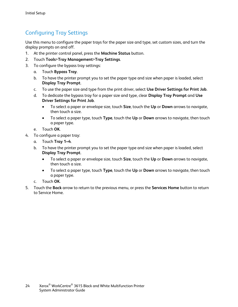#### Configuring Tray Settings

<span id="page-23-0"></span>Use this menu to configure the paper trays for the paper size and type, set custom sizes, and turn the display prompts on and off.

- 1. At the printer control panel, press the **Machine Status** button.
- 2. Touch **Tools**>**Tray Management**>**Tray Settings**.
- 3. To configure the bypass tray settings:
	- a. Touch **Bypass Tray**.
	- b. To have the printer prompt you to set the paper type and size when paper is loaded, select **Display Tray Prompt**.
	- c. To use the paper size and type from the print driver, select **Use Driver Settings for Print Job**.
	- d. To dedicate the bypass tray for a paper size and type, clear **Display Tray Prompt** and **Use Driver Settings for Print Job**.
		- To select a paper or envelope size, touch **Size**, touch the **Up** or **Down** arrows to navigate, then touch a size.
		- To select a paper type, touch **Type**, touch the **Up** or **Down** arrows to navigate, then touch a paper type.
	- e. Touch **OK**.
- 4. To configure a paper tray:
	- a. Touch **Tray 1–4**.
	- b. To have the printer prompt you to set the paper type and size when paper is loaded, select **Display Tray Prompt**.
		- To select a paper or envelope size, touch **Size**, touch the **Up** or **Down** arrows to navigate, then touch a size.
		- To select a paper type, touch **Type**, touch the **Up** or **Down** arrows to navigate, then touch a paper type.
	- c. Touch **OK**.
- 5. Touch the **Back** arrow to return to the previous menu, or press the **Services Home** button to return to Service Home.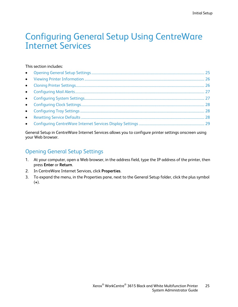### <span id="page-24-0"></span>Configuring General Setup Using CentreWare Internet Services

#### This section includes:

| $\bullet$ |  |
|-----------|--|
|           |  |

General Setup in CentreWare Internet Services allows you to configure printer settings onscreen using your Web browser.

#### <span id="page-24-1"></span>Opening General Setup Settings

- 1. At your computer, open a Web browser, in the address field, type the IP address of the printer, then press **Enter** or **Return**.
- 2. In CentreWare Internet Services, click **Properties**.
- 3. To expand the menu, in the Properties pane, next to the General Setup folder, click the plus symbol (**+**).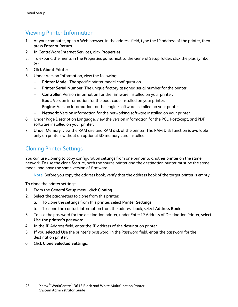#### Viewing Printer Information

- <span id="page-25-0"></span>1. At your computer, open a Web browser, in the address field, type the IP address of the printer, then press **Enter** or **Return**.
- 2. In CentreWare Internet Services, click **Properties**.
- 3. To expand the menu, in the Properties pane, next to the General Setup folder, click the plus symbol (**+**).
- 4. Click **About Printer**.
- 5. Under Version Information, view the following:
	- **Printer Model:** The specific printer model configuration.
	- − **Printer Serial Number**: The unique factory-assigned serial number for the printer.
	- − **Controller**: Version information for the firmware installed on your printer.
	- **Boot: Version information for the boot code installed on your printer.**
	- − **Engine**: Version information for the engine software installed on your printer.
	- − **Network**: Version information for the networking software installed on your printer.
- 6. Under Page Description Language, view the version information for the PCL, PostScript, and PDF software installed on your printer.
- 7. Under Memory, view the RAM size and RAM disk of the printer. The RAM Disk function is available only on printers without an optional SD memory card installed.

#### <span id="page-25-1"></span>Cloning Printer Settings

You can use cloning to copy configuration settings from one printer to another printer on the same network. To use the clone feature, both the source printer and the destination printer must be the same model and have the same version of firmware.

Note: Before you copy the address book, verify that the address book of the target printer is empty.

To clone the printer settings:

- 1. From the General Setup menu, click **Cloning**.
- 2. Select the parameters to clone from this printer:
	- a. To clone the settings from this printer, select **Printer Settings**.
	- b. To clone the contact information from the address book, select **Address Book**.
- 3. To use the password for the destination printer, under Enter IP Address of Destination Printer, select **Use the printer's password**.
- 4. In the IP Address field, enter the IP address of the destination printer.
- 5. If you selected Use the printer's password, in the Password field, enter the password for the destination printer.
- 6. Click **Clone Selected Settings**.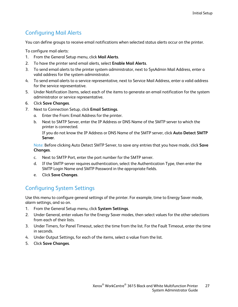#### Configuring Mail Alerts

<span id="page-26-0"></span>You can define groups to receive email notifications when selected status alerts occur on the printer.

To configure mail alerts:

- 1. From the General Setup menu, click **Mail Alerts**.
- 2. To have the printer send email alerts, select **Enable Mail Alerts**.
- 3. To send email alerts to the printer system administrator, next to SysAdmin Mail Address, enter a valid address for the system administrator.
- 4. To send email alerts to a service representative, next to Service Mail Address, enter a valid address for the service representative.
- 5. Under Notification Items, select each of the items to generate an email notification for the system administrator or service representative.
- 6. Click **Save Changes**.
- 7. Next to Connection Setup, click **Email Settings**.
	- a. Enter the From: Email Address for the printer.
	- b. Next to SMTP Server, enter the IP Address or DNS Name of the SMTP server to which the printer is connected.

If you do not know the IP Address or DNS Name of the SMTP server, click **Auto Detect SMTP Server**.

Note: Before clicking Auto Detect SMTP Server, to save any entries that you have made, click **Save Changes**.

- c. Next to SMTP Port, enter the port number for the SMTP server.
- d. If the SMTP server requires authentication, select the Authentication Type, then enter the SMTP Login Name and SMTP Password in the appropriate fields.
- e. Click **Save Changes**.

#### <span id="page-26-1"></span>Configuring System Settings

Use this menu to configure general settings of the printer. For example, time to Energy Saver mode, alarm settings, and so on.

- 1. From the General Setup menu, click **System Settings**.
- 2. Under General, enter values for the Energy Saver modes, then select values for the other selections from each of their lists.
- 3. Under Timers, for Panel Timeout, select the time from the list. For the Fault Timeout, enter the time in seconds.
- 4. Under Output Settings, for each of the items, select a value from the list.
- 5. Click **Save Changes**.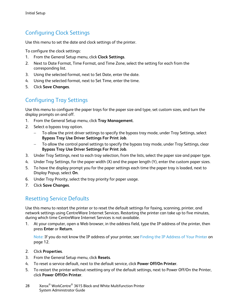#### Configuring Clock Settings

<span id="page-27-0"></span>Use this menu to set the date and clock settings of the printer.

To configure the clock settings:

- 1. From the General Setup menu, click **Clock Settings**.
- 2. Next to Date Format, Time Format, and Time Zone, select the setting for each from the corresponding list.
- 3. Using the selected format, next to Set Date, enter the date.
- 4. Using the selected format, next to Set Time, enter the time.
- <span id="page-27-1"></span>5. Click **Save Changes**.

#### Configuring Tray Settings

Use this menu to configure the paper trays for the paper size and type, set custom sizes, and turn the display prompts on and off.

- 1. From the General Setup menu, click **Tray Management**.
- 2. Select a bypass tray option.
	- − To allow the print driver settings to specify the bypass tray mode, under Tray Settings, select **Bypass Tray Use Driver Settings For Print Job**.
	- − To allow the control panel settings to specify the bypass tray mode, under Tray Settings, clear **Bypass Tray Use Driver Settings For Print Job**.
- 3. Under Tray Settings, next to each tray selection, from the lists, select the paper size and paper type.
- 4. Under Tray Settings, for the paper width (X) and the paper length (Y), enter the custom paper sizes.
- 5. To have the display prompt you for the paper settings each time the paper tray is loaded, next to Display Popup, select **On**.
- 6. Under Tray Priority, select the tray priority for paper usage.
- <span id="page-27-2"></span>7. Click **Save Changes**.

#### Resetting Service Defaults

Use this menu to restart the printer or to reset the default settings for faxing, scanning, printer, and network settings using CentreWare Internet Services. Restarting the printer can take up to five minutes, during which time CentreWare Internet Services is not available.

1. At your computer, open a Web browser, in the address field, type the IP address of the printer, then press **Enter** or **Return**.

Note: If you do not know the IP address of your printer, see Finding the IP Address of Your Printer on pag[e 12.](#page-11-0)

- 2. Click **Properties**.
- 3. From the General Setup menu, click **Resets**.
- 4. To reset a service default, next to the default service, click **Power Off/On Printer**.
- 5. To restart the printer without resetting any of the default settings, next to Power Off/On the Printer, click **Power Off/On Printer**.
- 28 Xerox<sup>®</sup> WorkCentre<sup>®</sup> 3615 Black and White Multifunction Printer System Administrator Guide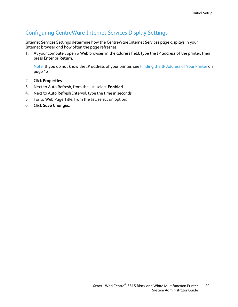#### Configuring CentreWare Internet Services Display Settings

<span id="page-28-0"></span>Internet Services Settings determine how the CentreWare Internet Services page displays in your Internet browser and how often the page refreshes.

1. At your computer, open a Web browser, in the address field, type the IP address of the printer, then press **Enter** or **Return**.

Note: If you do not know the IP address of your printer, see Finding the IP Address of Your Printer on pag[e 12.](#page-11-0)

- 2. Click **Properties**.
- 3. Next to Auto Refresh, from the list, select **Enabled**.
- 4. Next to Auto Refresh Interval, type the time in seconds.
- 5. For to Web Page Title, from the list, select an option.
- 6. Click **Save Changes**.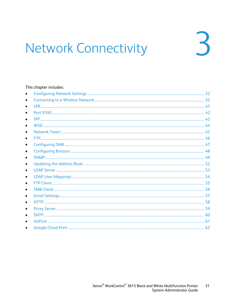# <span id="page-30-0"></span>**Network Connectivity**

#### This chapter includes:

| Google Cloud Print Contract to the Contract of Contract of Contract of Contract of Contract of Contract of Contract of Contract of Contract of Contract of Contract of Contract of Contract of Contract of Contract of Contrac | 62 |
|--------------------------------------------------------------------------------------------------------------------------------------------------------------------------------------------------------------------------------|----|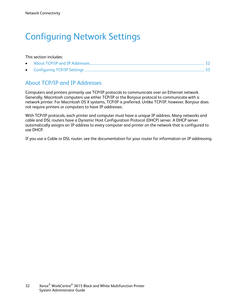### <span id="page-31-0"></span>Configuring Network Settings

#### This section includes:

#### <span id="page-31-1"></span>About TCP/IP and IP Addresses

Computers and printers primarily use TCP/IP protocols to communicate over an Ethernet network. Generally, Macintosh computers use either TCP/IP or the Bonjour protocol to communicate with a network printer. For Macintosh OS X systems, TCP/IP is preferred. Unlike TCP/IP, however, Bonjour does not require printers or computers to have IP addresses.

With TCP/IP protocols, each printer and computer must have a unique IP address. Many networks and cable and DSL routers have a Dynamic Host Configuration Protocol (DHCP) server. A DHCP server automatically assigns an IP address to every computer and printer on the network that is configured to use DHCP.

If you use a Cable or DSL router, see the documentation for your router for information on IP addressing.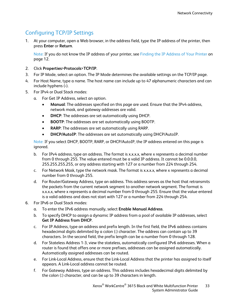#### Configuring TCP/IP Settings

<span id="page-32-0"></span>1. At your computer, open a Web browser, in the address field, type the IP address of the printer, then press **Enter** or **Return**.

Note: If you do not know the IP address of your printer, see Finding the IP Address of Your Printer on pag[e 12.](#page-11-0)

- 2. Click **Properties**>**Protocols**>**TCP/IP**.
- 3. For IP Mode, select an option. The IP Mode determines the available settings on the TCP/IP page.
- 4. For Host Name, type a name. The host name can include up to 47 alphanumeric characters and can include hyphens (**-**).
- 5. For IPv4 or Dual Stack modes:
	- a. For Get IP Address, select an option.
		- **Manual**: The addresses specified on this page are used. Ensure that the IPv4 address, network mask, and gateway addresses are valid.
		- **DHCP**: The addresses are set automatically using DHCP.
		- **BOOTP**: The addresses are set automatically using BOOTP.
		- **RARP**: The addresses are set automatically using RARP.
		- **DHCP/AutoIP**: The addresses are set automatically using DHCP/AutoIP.

Note: If you select DHCP, BOOTP, RARP, or DHCP/AutoIP, the IP address entered on this page is ignored.

- b. For IPv4 address, type an address. The format is x.x.x.x, where x represents a decimal number from 0 through 255. The value entered must be a valid IP address. It cannot be 0.0.0.0, 255.255.255.255, or any address starting with 127 or a number from 224 through 254.
- c. For Network Mask, type the network mask. The format is x.x.x.x, where x represents a decimal number from 0 through 255.
- d. For Router/Gateway Address, type an address. This address serves as the host that retransmits the packets from the current network segment to another network segment. The format is x.x.x.x, where x represents a decimal number from 0 through 255. Ensure that the value entered is a valid address and does not start with 127 or a number from 224 through 254.
- 6. For IPv6 or Dual Stack modes:
	- a. To enter the IPv6 address manually, select **Enable Manual Address**.
	- b. To specify DHCP to assign a dynamic IP address from a pool of available IP addresses, select **Get IP Address from DHCP**.
	- c. For IP Address, type an address and prefix length. In the first field, the IPv6 address contains hexadecimal digits delimited by a colon (**:**) character. The address can contain up to 39 characters. In the second field, the prefix length can be a number from 0 through 128.
	- d. For Stateless Address 1-3, view the stateless, automatically configured IPv6 addresses. When a router is found that offers one or more prefixes, addresses can be assigned automatically. Automatically assigned addresses can be routed.
	- e. For Link-Local Address, ensure that the Link-Local Address that the printer has assigned to itself appears. A Link-Local address cannot be routed.
	- f. For Gateway Address, type an address. This address includes hexadecimal digits delimited by the colon (**:**) character, and can be up to 39 characters in length.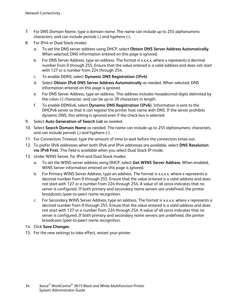- 7. For DNS Domain Name, type a domain name. The name can include up to 255 alphanumeric characters, and can include periods (**.**) and hyphens (**-**).
- 8. For IPv4 or Dual Stack modes:
	- a. To set the DNS server address using DHCP, select **Obtain DNS Server Address Automatically**. When selected, DNS information entered on this page is ignored.
	- b. For DNS Server Address, type an address. The format is x.x.x.x, where x represents a decimal number from 0 through 255. Ensure that the value entered is a valid address and does not start with 127 or a number from 224 through 254.
	- c. To enable DDNS, select **Dynamic DNS Registration (IPv4)**.
	- d. Select **Obtain IPv6 DNS Server Address Automatically** as needed. When selected, DNS information entered on this page is ignored.
	- e. For DNS Server Address, type an address. This address includes hexadecimal digits delimited by the colon (**:**) character, and can be up to 39 characters in length.
	- f. To enable DDNSv6, select **Dynamic DNS Registration (IPv6).** Information is sent to the DHCPv6 server so that it can register the printer host name with DNS. If the server prohibits dynamic DNS, this setting is ignored even if the check box is selected.
- 9. Select **Auto Generation of Search List** as needed.
- 10. Select **Search Domain Name** as needed. The name can include up to 255 alphanumeric characters, and can include periods (**.**) and hyphens (**-**).
- 11. For Connection Timeout, type the amount of time to wait before the connection times out.
- 12. To prefer IPv6 addresses when both IPv6 and IPv4 addresses are available, select **DNS Resolution via IPv6 First**. This field is available when you select Dual Stack IP mode.
- 13. Under WINS Server, for IPv4 and Dual Stack modes:
	- a. To set the WINS server address using DHCP, select **Get WINS Server Address**. When enabled, WINS Server information entered on this page is ignored.
	- b. For Primary WINS Server Address, type an address. The format is x.x.x.x, where x represents a decimal number from 0 through 255. Ensure that the value entered is a valid address and does not start with 127 or a number from 224 through 254. A value of all zeros indicates that no server is configured. If both primary and secondary name servers are undefined, the printer broadcasts (peer-to-peer) name recognition.
	- c. For Secondary WINS Server Address, type an address. The format is x.x.x.x, where x represents a decimal number from 0 through 255. Ensure that the value entered is a valid address and does not start with 127 or a number from 224 through 254. A value of all zeros indicates that no server is configured. If both primary and secondary name servers are undefined, the printer broadcasts (peer-to-peer) name recognition.
- 14. Click **Save Changes**.
- 15. For the new settings to take effect, restart your printer.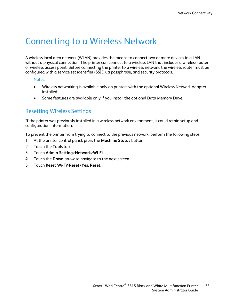### <span id="page-34-0"></span>Connecting to a Wireless Network

A wireless local area network (WLAN) provides the means to connect two or more devices in a LAN without a physical connection. The printer can connect to a wireless LAN that includes a wireless router or wireless access point. Before connecting the printer to a wireless network, the wireless router must be configured with a service set identifier (SSID), a passphrase, and security protocols.

#### Notes:

- Wireless networking is available only on printers with the optional Wireless Network Adapter installed.
- Some features are available only if you install the optional Data Memory Drive.

#### Resetting Wireless Settings

If the printer was previously installed in a wireless network environment, it could retain setup and configuration information.

To prevent the printer from trying to connect to the previous network, perform the following steps:

- 1. At the printer control panel, press the **Machine Status** button.
- 2. Touch the **Tools** tab.
- 3. Touch **Admin Setting**>**Network**>**Wi-Fi**.
- 4. Touch the **Down** arrow to navigate to the next screen.
- 5. Touch **Reset Wi-Fi**>**Reset**>**Yes, Reset**.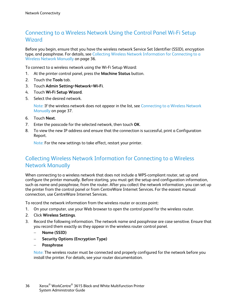#### Connecting to a Wireless Network Using the Control Panel Wi-Fi Setup **Wizard**

Before you begin, ensure that you have the wireless network Service Set Identifier (SSID), encryption type, and passphrase. For details, see Collecting Wireless Network Information for Connecting to a Wireless Network Manually on pag[e 36.](#page-35-0)

To connect to a wireless network using the Wi-Fi Setup Wizard:

- 1. At the printer control panel, press the **Machine Status** button.
- 2. Touch the **Tools** tab.
- 3. Touch **Admin Setting**>**Network**>**Wi-Fi**.
- 4. Touch **Wi-Fi Setup Wizard**.
- 5. Select the desired network.

Note: If the wireless network does not appear in the list, see Connecting to a Wireless Network Manually on pag[e 37.](#page-36-0)

- 6. Touch **Next**.
- 7. Enter the passcode for the selected network, then touch **OK**.
- 8. To view the new IP address and ensure that the connection is successful, print a Configuration Report.

Note: For the new settings to take effect, restart your printer.

#### <span id="page-35-0"></span>Collecting Wireless Network Information for Connecting to a Wireless Network Manually

When connecting to a wireless network that does not include a WPS-compliant router, set up and configure the printer manually. Before starting, you must get the setup and configuration information, such as name and passphrase, from the router. After you collect the network information, you can set up the printer from the control panel or from CentreWare Internet Services. For the easiest manual connection, use CentreWare Internet Services.

To record the network information from the wireless router or access point:

- 1. On your computer, use your Web browser to open the control panel for the wireless router.
- 2. Click **Wireless Settings**.
- 3. Record the following information. The network name and passphrase are case sensitive. Ensure that you record them exactly as they appear in the wireless router control panel.
	- − **Name (SSID)**
	- − **Security Options (Encryption Type)**
	- − **Passphrase**

Note: The wireless router must be connected and properly configured for the network before you install the printer. For details, see your router documentation.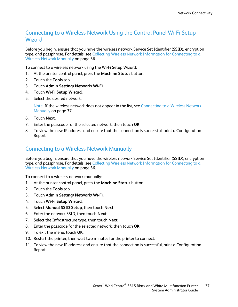#### Connecting to a Wireless Network Using the Control Panel Wi-Fi Setup **Wizard**

Before you begin, ensure that you have the wireless network Service Set Identifier (SSID), encryption type, and passphrase. For details, see Collecting Wireless Network Information for Connecting to a Wireless Network Manually on pag[e 36.](#page-35-0)

To connect to a wireless network using the Wi-Fi Setup Wizard:

- 1. At the printer control panel, press the **Machine Status** button.
- 2. Touch the **Tools** tab.
- 3. Touch **Admin Setting**>**Network**>**Wi-Fi**.
- 4. Touch **Wi-Fi Setup Wizard**.
- 5. Select the desired network.

Note: If the wireless network does not appear in the list, see Connecting to a Wireless Network Manually on pag[e 37.](#page-36-0)

- 6. Touch **Next**.
- 7. Enter the passcode for the selected network, then touch **OK**.
- 8. To view the new IP address and ensure that the connection is successful, print a Configuration Report.

#### <span id="page-36-0"></span>Connecting to a Wireless Network Manually

Before you begin, ensure that you have the wireless network Service Set Identifier (SSID), encryption type, and passphrase. For details, see Collecting Wireless Network Information for Connecting to a Wireless Network Manually on pag[e 36.](#page-35-0)

To connect to a wireless network manually:

- 1. At the printer control panel, press the **Machine Status** button.
- 2. Touch the **Tools** tab.
- 3. Touch **Admin Setting**>**Network**>**Wi-Fi**.
- 4. Touch **Wi-Fi Setup Wizard**.
- 5. Select **Manual SSID Setup**, then touch **Next**.
- 6. Enter the network SSID, then touch **Next**.
- 7. Select the Infrastructure type, then touch **Next**.
- 8. Enter the passcode for the selected network, then touch **OK**.
- 9. To exit the menu, touch **OK**.
- 10. Restart the printer, then wait two minutes for the printer to connect.
- 11. To view the new IP address and ensure that the connection is successful, print a Configuration Report.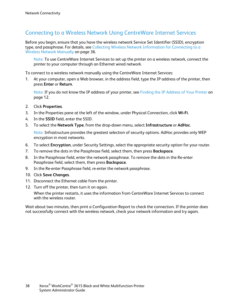#### Connecting to a Wireless Network Using CentreWare Internet Services

Before you begin, ensure that you have the wireless network Service Set Identifier (SSID), encryption type, and passphrase. For details, see Collecting Wireless Network Information for Connecting to a Wireless Network Manually on pag[e 36.](#page-35-0)

Note: To use CentreWare Internet Services to set up the printer on a wireless network, connect the printer to your computer through an Ethernet wired network.

To connect to a wireless network manually using the CentreWare Internet Services:

1. At your computer, open a Web browser, in the address field, type the IP address of the printer, then press **Enter** or **Return**.

Note: If you do not know the IP address of your printer, see Finding the IP Address of Your Printer on pag[e 12.](#page-11-0)

- 2. Click **Properties**.
- 3. In the Properties pane at the left of the window, under Physical Connection, click **Wi-Fi**.
- 4. In the **SSID** field, enter the SSID.
- 5. To select the **Network Type**, from the drop-down menu, select **Infrastructure** or **AdHoc**.

Note: Infrastructure provides the greatest selection of security options. AdHoc provides only WEP encryption in most networks.

- 6. To select **Encryption**, under Security Settings, select the appropriate security option for your router.
- 7. To remove the dots in the Passphrase field, select them, then press **Backspace**.
- 8. In the Passphrase field, enter the network passphrase. To remove the dots in the Re-enter Passphrase field, select them, then press **Backspace**.
- 9. In the Re-enter Passphrase field, re-enter the network passphrase.
- 10. Click **Save Changes**.
- 11. Disconnect the Ethernet cable from the printer.
- 12. Turn off the printer, then turn it on again.

When the printer restarts, it uses the information from CentreWare Internet Services to connect with the wireless router

Wait about two minutes, then print a Configuration Report to check the connection. If the printer does not successfully connect with the wireless network, check your network information and try again.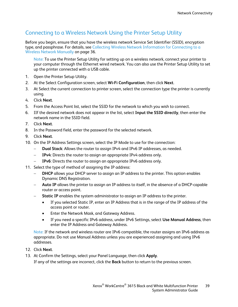#### Connecting to a Wireless Network Using the Printer Setup Utility

Before you begin, ensure that you have the wireless network Service Set Identifier (SSID), encryption type, and passphrase. For details, see Collecting Wireless Network Information for Connecting to a Wireless Network Manually on pag[e 36.](#page-35-0)

Note: To use the Printer Setup Utility for setting up on a wireless network, connect your printer to your computer through the Ethernet wired network. You can also use the Printer Setup Utility to set up the printer connected with a USB cable.

- 1. Open the Printer Setup Utility.
- 2. At the Select Configuration screen, select **Wi-Fi Configuration**, then click **Next**.
- 3. At Select the current connection to printer screen, select the connection type the printer is currently using.
- 4. Click **Next**.
- 5. From the Access Point list, select the SSID for the network to which you wish to connect.
- 6. IIf the desired network does not appear in the list, select **Input the SSID directly**, then enter the network name in the SSID field.
- 7. Click **Next**.
- 8. In the Password field, enter the password for the selected network.
- 9. Click **Next**.
- 10. On the IP Address Settings screen, select the IP Mode to use for the connection:
	- − **Dual Stack**: Allows the router to assign IPv4 and IPv6 IP addresses, as needed.
	- − **IPv4**: Directs the router to assign an appropriate IPv4 address only.
	- − **IPv6**: Directs the router to assign an appropriate IPv6 address only.
- 11. Select the type of method of assigning the IP address:
	- **DHCP** allows your DHCP server to assign an IP address to the printer. This option enables Dynamic DNS Registration.
	- − **Auto IP** allows the printer to assign an IP address to itself, in the absence of a DHCP-capable router or access point.
	- **Static IP** enables the system administrator to assign an IP address to the printer.
		- If you selected Static IP, enter an IP Address that is in the range of the IP address of the access point or router.
		- Enter the Network Mask, and Gateway Address.
		- If you need a specific IPv6 address, under IPv6 Settings, select **Use Manual Address**, then enter the IP Address and Gateway Address.

Note: If the network and wireless router are IPv6 compatible, the router assigns an IPv6 address as appropriate. Do not use Manual Address unless you are experienced assigning and using IPv6 addresses.

- 12. Click **Next**.
- 13. At Confirm the Settings, select your Panel Language, then click **Apply**.

If any of the settings are incorrect, click the **Back** button to return to the previous screen.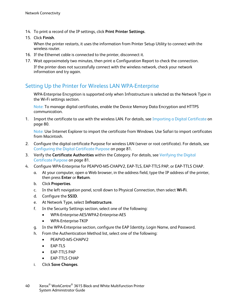- 14. To print a record of the IP settings, click **Print Printer Settings**.
- 15. Click **Finish**.

When the printer restarts, it uses the information from Printer Setup Utility to connect with the wireless router.

- 16. If the Ethernet cable is connected to the printer, disconnect it.
- 17. Wait approximately two minutes, then print a Configuration Report to check the connection. If the printer does not successfully connect with the wireless network, check your network information and try again.

#### Setting Up the Printer for Wireless LAN WPA-Enterprise

WPA-Enterprise Encryption is supported only when Infrastructure is selected as the Network Type in the Wi-Fi settings section.

Note: To manage digital certificates, enable the Device Memory Data Encryption and HTTPS communication.

1. Import the certificate to use with the wireless LAN. For details, see Importing a Digital Certificate on pag[e 80.](#page-79-0)

Note: Use Internet Explorer to import the certificate from Windows. Use Safari to import certificates from Macintosh.

- 2. Configure the digital certificate Purpose for wireless LAN (server or root certificate). For details, see Configuring the Digital Certificate Purpose on page [81.](#page-80-0)
- 3. Verify the **Certificate Authorities** within the Category. For details, see Verifying the Digital Certificate Purpose on page [81.](#page-80-1)
- 4. Configure WPA-Enterprise for PEAPVO-MS-CHAPV2, EAP-TLS, EAP-TTLS PAP, or EAP-TTLS CHAP.
	- a. At your computer, open a Web browser, in the address field, type the IP address of the printer, then press **Enter** or **Return**.
	- b. Click **Properties**.
	- c. In the left navigation panel, scroll down to Physical Connection, then select **Wi-Fi**.
	- d. Configure the **SSID**.
	- e. At Network Type, select **Infrastructure**.
	- f. In the Security Settings section, select one of the following:
		- WPA-Enterprise-AES/WPA2-Enterprise-AES
		- WPA-Enterprise-TKIP
	- g. In the WPA-Enterprise section, configure the EAP Identity, Login Name, and Password.
	- h. From the Authentication Method list, select one of the following:
		- PEAPVO-MS-CHAPV2
		- EAP-TLS
		- EAP-TTLS PAP
		- EAP-TTLS CHAP
	- i. Click **Save Changes**.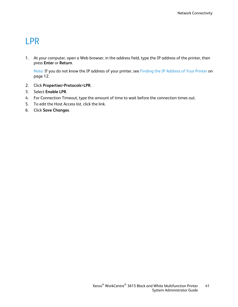### LPR

1. At your computer, open a Web browser, in the address field, type the IP address of the printer, then press **Enter** or **Return**.

- 2. Click **Properties**>**Protocols**>**LPR**.
- 3. Select **Enable LPR**.
- 4. For Connection Timeout, type the amount of time to wait before the connection times out.
- 5. To edit the Host Access list, click the link.
- 6. Click **Save Changes**.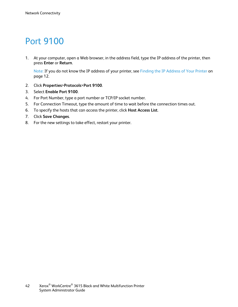### Port 9100

1. At your computer, open a Web browser, in the address field, type the IP address of the printer, then press **Enter** or **Return**.

- 2. Click **Properties**>**Protocols**>**Port 9100**.
- 3. Select **Enable Port 9100**.
- 4. For Port Number, type a port number or TCP/IP socket number.
- 5. For Connection Timeout, type the amount of time to wait before the connection times out.
- 6. To specify the hosts that can access the printer, click **Host Access List**.
- 7. Click **Save Changes**.
- 8. For the new settings to take effect, restart your printer.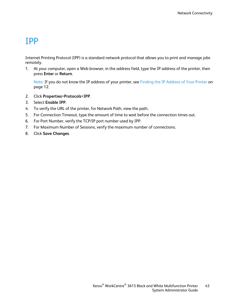### IPP

Internet Printing Protocol (IPP) is a standard network protocol that allows you to print and manage jobs remotely.

1. At your computer, open a Web browser, in the address field, type the IP address of the printer, then press **Enter** or **Return**.

- 2. Click **Properties**>**Protocols**>**IPP**.
- 3. Select **Enable IPP**.
- 4. To verify the URL of the printer, for Network Path, view the path.
- 5. For Connection Timeout, type the amount of time to wait before the connection times out.
- 6. For Port Number, verify the TCP/IP port number used by IPP.
- 7. For Maximum Number of Sessions, verify the maximum number of connections.
- 8. Click **Save Changes**.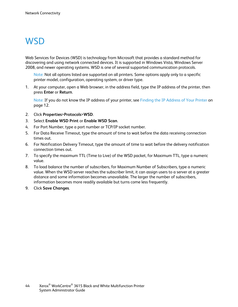### **WSD**

Web Services for Devices (WSD) is technology from Microsoft that provides a standard method for discovering and using network connected devices. It is supported in Windows Vista, Windows Server 2008, and newer operating systems. WSD is one of several supported communication protocols.

Note: Not all options listed are supported on all printers. Some options apply only to a specific printer model, configuration, operating system, or driver type.

1. At your computer, open a Web browser, in the address field, type the IP address of the printer, then press **Enter** or **Return**.

- 2. Click **Properties**>**Protocols**>**WSD**.
- 3. Select **Enable WSD Print** or **Enable WSD Scan**.
- 4. For Port Number, type a port number or TCP/IP socket number.
- 5. For Data Receive Timeout, type the amount of time to wait before the data receiving connection times out.
- 6. For Notification Delivery Timeout, type the amount of time to wait before the delivery notification connection times out.
- 7. To specify the maximum TTL (Time to Live) of the WSD packet, for Maximum TTL, type a numeric value.
- 8. To load balance the number of subscribers, for Maximum Number of Subscribers, type a numeric value. When the WSD server reaches the subscriber limit, it can assign users to a server at a greater distance and some information becomes unavailable. The larger the number of subscribers, information becomes more readily available but turns come less frequently.
- 9. Click **Save Changes**.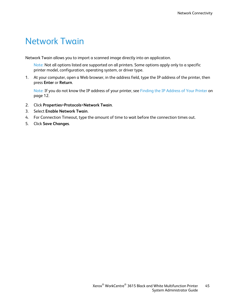### Network Twain

Network Twain allows you to import a scanned image directly into an application.

Note: Not all options listed are supported on all printers. Some options apply only to a specific printer model, configuration, operating system, or driver type.

1. At your computer, open a Web browser, in the address field, type the IP address of the printer, then press **Enter** or **Return**.

- 2. Click **Properties**>**Protocols**>**Network Twain**.
- 3. Select **Enable Network Twain**.
- 4. For Connection Timeout, type the amount of time to wait before the connection times out.
- 5. Click **Save Changes**.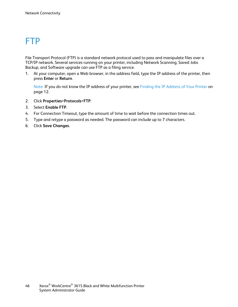### FTP

File Transport Protocol (FTP) is a standard network protocol used to pass and manipulate files over a TCP/IP network. Several services running on your printer, including Network Scanning, Saved Jobs Backup, and Software upgrade can use FTP as a filing service.

1. At your computer, open a Web browser, in the address field, type the IP address of the printer, then press **Enter** or **Return**.

- 2. Click **Properties**>**Protocols**>**FTP**.
- 3. Select **Enable FTP**.
- 4. For Connection Timeout, type the amount of time to wait before the connection times out.
- 5. Type and retype a password as needed. The password can include up to 7 characters.
- 6. Click **Save Changes**.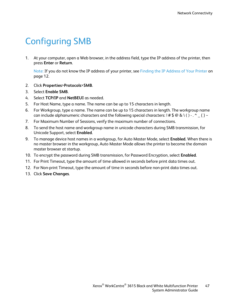## Configuring SMB

1. At your computer, open a Web browser, in the address field, type the IP address of the printer, then press **Enter** or **Return**.

- 2. Click **Properties**>**Protocols**>**SMB**.
- 3. Select **Enable SMB**.
- 4. Select **TCP/IP** and **NetBEUI** as needed.
- 5. For Host Name, type a name. The name can be up to 15 characters in length.
- 6. For Workgroup, type a name. The name can be up to 15 characters in length. The workgroup name can include alphanumeric characters and the following special characters:  $!$  #  $\oint \mathcal{Q} \otimes \setminus () \cdot$ . ^ \_ { } ~
- 7. For Maximum Number of Sessions, verify the maximum number of connections.
- 8. To send the host name and workgroup name in unicode characters during SMB transmission, for Unicode Support, select **Enabled**.
- 9. To manage device host names in a workgroup, for Auto Master Mode, select **Enabled**. When there is no master browser in the workgroup, Auto Master Mode allows the printer to become the domain master browser at startup.
- 10. To encrypt the password during SMB transmission, for Password Encryption, select **Enabled**.
- 11. For Print Timeout, type the amount of time allowed in seconds before print data times out.
- 12. For Non-print Timeout, type the amount of time in seconds before non-print data times out.
- 13. Click **Save Changes**.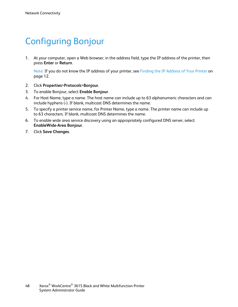### Configuring Bonjour

1. At your computer, open a Web browser, in the address field, type the IP address of the printer, then press **Enter** or **Return**.

- 2. Click **Properties**>**Protocols**>**Bonjour**.
- 3. To enable Bonjour, select **Enable Bonjour**.
- 4. For Host Name, type a name. The host name can include up to 63 alphanumeric characters and can include hyphens (**-**). If blank, multicast DNS determines the name.
- 5. To specify a printer service name, for Printer Name, type a name. The printer name can include up to 63 characters. If blank, multicast DNS determines the name.
- 6. To enable wide area service discovery using an appropriately configured DNS server, select **EnableWide-Area Bonjour**.
- 7. Click **Save Changes**.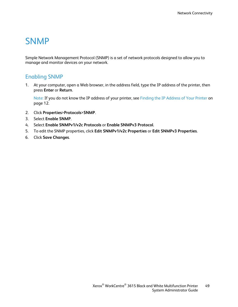### **SNMP**

Simple Network Management Protocol (SNMP) is a set of network protocols designed to allow you to manage and monitor devices on your network.

#### Enabling SNMP

1. At your computer, open a Web browser, in the address field, type the IP address of the printer, then press **Enter** or **Return**.

- 2. Click **Properties**>**Protocols**>**SNMP**.
- 3. Select **Enable SNMP**.
- 4. Select **Enable SNMPv1/v2c Protocols** or **Enable SNMPv3 Protocol**.
- 5. To edit the SNMP properties, click **Edit SNMPv1/v2c Properties** or **Edit SNMPv3 Properties**.
- 6. Click **Save Changes**.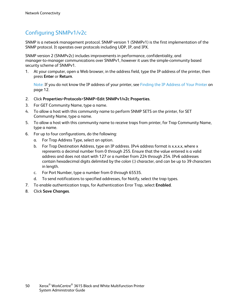### Configuring SNMPv1/v2c

SNMP is a network management protocol. SNMP version 1 (SNMPv1) is the first implementation of the SNMP protocol. It operates over protocols including UDP, IP, and IPX.

SNMP version 2 (SNMPv2c) includes improvements in performance, confidentiality, and manager-to-manager communications over SNMPv1, however it uses the simple-community based security scheme of SNMPv1.

1. At your computer, open a Web browser, in the address field, type the IP address of the printer, then press **Enter** or **Return**.

- 2. Click **Properties**>**Protocols**>**SNMP**>**Edit SNMPv1/v2c Properties**.
- 3. For GET Community Name, type a name.
- 4. To allow a host with this community name to perform SNMP SETS on the printer, for SET Community Name, type a name.
- 5. To allow a host with this community name to receive traps from printer, for Trap Community Name, type a name.
- 6. For up to four configurations, do the following:
	- a. For Trap Address Type, select an option.
	- b. For Trap Destination Address, type an IP address. IPv4 address format is x.x.x.x, where x represents a decimal number from 0 through 255. Ensure that the value entered is a valid address and does not start with 127 or a number from 224 through 254. IPv6 addresses contain hexadecimal digits delimited by the colon (**:**) character, and can be up to 39 characters in length.
	- c. For Port Number, type a number from 0 through 65535.
	- d. To send notifications to specified addresses, for Notify, select the trap types.
- 7. To enable authentication traps, for Authentication Error Trap, select **Enabled**.
- 8. Click **Save Changes**.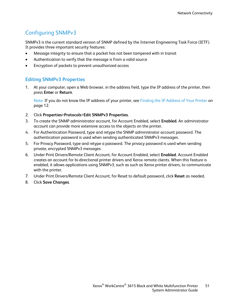### Configuring SNMPv3

SNMPv3 is the current standard version of SNMP defined by the Internet Engineering Task Force (IETF). It provides three important security features:

- Message integrity to ensure that a packet has not been tampered with in transit
- Authentication to verify that the message is from a valid source
- Encryption of packets to prevent unauthorized access

#### **Editing SNMPv3 Properties**

1. At your computer, open a Web browser, in the address field, type the IP address of the printer, then press **Enter** or **Return**.

- 2. Click **Properties**>**Protocols**>**Edit SNMPv3 Properties**.
- 3. To create the SNMP administrator account, for Account Enabled, select **Enabled**. An administrator account can provide more extensive access to the objects on the printer.
- 4. For Authentication Password, type and retype the SNMP administrator account password. The authentication password is used when sending authenticated SNMPv3 messages.
- 5. For Privacy Password, type and retype a password. The privacy password is used when sending private, encrypted SNMPv3 messages.
- 6. Under Print Drivers/Remote Client Account, for Account Enabled, select **Enabled**. Account Enabled creates an account for bi-directional printer drivers and Xerox remote clients. When this feature is enabled, it allows applications using SNMPv3, such as such as Xerox printer drivers, to communicate with the printer.
- 7. Under Print Drivers/Remote Client Account, for Reset to default password, click **Reset** as needed.
- 8. Click **Save Changes**.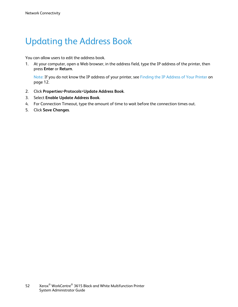## Updating the Address Book

You can allow users to edit the address book.

1. At your computer, open a Web browser, in the address field, type the IP address of the printer, then press **Enter** or **Return**.

- 2. Click **Properties**>**Protocols**>**Update Address Book**.
- 3. Select **Enable Update Address Book**.
- 4. For Connection Timeout, type the amount of time to wait before the connection times out.
- 5. Click **Save Changes**.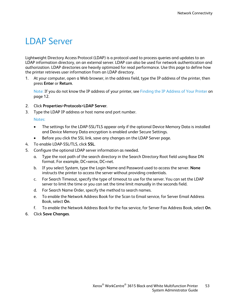### <span id="page-52-0"></span>LDAP Server

Lightweight Directory Access Protocol (LDAP) is a protocol used to process queries and updates to an LDAP information directory, on an external server. LDAP can also be used for network authentication and authorization. LDAP directories are heavily optimized for read performance. Use this page to define how the printer retrieves user information from an LDAP directory.

1. At your computer, open a Web browser, in the address field, type the IP address of the printer, then press **Enter** or **Return**.

Note: If you do not know the IP address of your printer, see Finding the IP Address of Your Printer on pag[e 12.](#page-11-0)

- 2. Click **Properties**>**Protocols**>**LDAP Server**.
- 3. Type the LDAP IP address or host name and port number.

Notes:

- The settings for the LDAP-SSL/TLS appear only if the optional Device Memory Data is installed and Device Memory Data encryption is enabled under Secure Settings.
- Before you click the SSL link, save any changes on the LDAP Server page.
- 4. To enable LDAP-SSL/TLS, click **SSL**.
- 5. Configure the optional LDAP server information as needed.
	- a. Type the root path of the search directory in the Search Directory Root field using Base DN format. For example, DC=xerox, DC=net.
	- b. If you select System, type the Login Name and Password used to access the server. **None** instructs the printer to access the server without providing credentials.
	- c. For Search Timeout, specify the type of timeout to use for the server. You can set the LDAP server to limit the time or you can set the time limit manually in the seconds field.
	- d. For Search Name Order, specify the method to search names.
	- e. To enable the Network Address Book for the Scan to Email service, for Server Email Address Book, select **On**.
	- f. To enable the Network Address Book for the fax service, for Server Fax Address Book, select **On**.
- 6. Click **Save Changes**.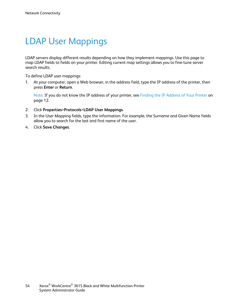### LDAP User Mappings

LDAP servers display different results depending on how they implement mappings. Use this page to map LDAP fields to fields on your printer. Editing current map settings allows you to fine-tune server search results.

To define LDAP user mappings:

1. At your computer, open a Web browser, in the address field, type the IP address of the printer, then press **Enter** or **Return**.

- 2. Click **Properties**>**Protocols**>**LDAP User Mappings**.
- 3. In the User Mapping fields, type the information. For example, the Surname and Given Name fields allow you to search for the last and first name of the user.
- 4. Click **Save Changes**.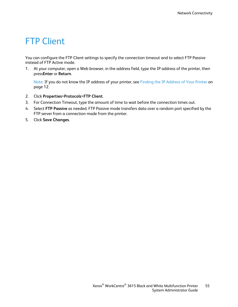### **FTP Client**

You can configure the FTP Client settings to specify the connection timeout and to select FTP Passive instead of FTP Active mode.

1. At your computer, open a Web browser, in the address field, type the IP address of the printer, then press**Enter** or **Return**.

- 2. Click **Properties**>**Protocols**>**FTP Client**.
- 3. For Connection Timeout, type the amount of time to wait before the connection times out.
- 4. Select **FTP Passive** as needed. FTP Passive mode transfers data over a random port specified by the FTP server from a connection made from the printer.
- 5. Click **Save Changes**.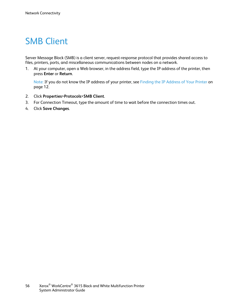### SMB Client

Server Message Block (SMB) is a client server, request-response protocol that provides shared access to files, printers, ports, and miscellaneous communications between nodes on a network.

1. At your computer, open a Web browser, in the address field, type the IP address of the printer, then press **Enter** or **Return**.

- 2. Click **Properties**>**Protocols**>**SMB Client**.
- 3. For Connection Timeout, type the amount of time to wait before the connection times out.
- 4. Click **Save Changes**.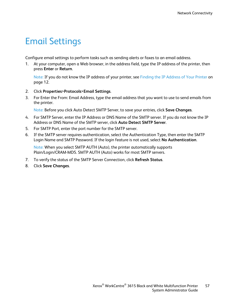### Email Settings

Configure email settings to perform tasks such as sending alerts or faxes to an email address.

1. At your computer, open a Web browser, in the address field, type the IP address of the printer, then press **Enter** or **Return**.

Note: If you do not know the IP address of your printer, see Finding the IP Address of Your Printer on pag[e 12.](#page-11-0)

- 2. Click **Properties**>**Protocols**>**Email Settings**.
- 3. For Enter the From: Email Address, type the email address that you want to use to send emails from the printer.

Note: Before you click Auto Detect SMTP Server, to save your entries, click **Save Changes**.

- 4. For SMTP Server, enter the IP Address or DNS Name of the SMTP server. If you do not know the IP Address or DNS Name of the SMTP server, click **Auto Detect SMTP Server**.
- 5. For SMTP Port, enter the port number for the SMTP server.
- 6. If the SMTP server requires authentication, select the Authentication Type, then enter the SMTP Login Name and SMTP Password. If the login feature is not used, select **No Authentication**.

Note: When you select SMTP AUTH (Auto), the printer automatically supports Plain/Login/CRAM-MD5. SMTP AUTH (Auto) works for most SMTP servers.

- 7. To verify the status of the SMTP Server Connection, click **Refresh Status**.
- 8. Click **Save Changes**.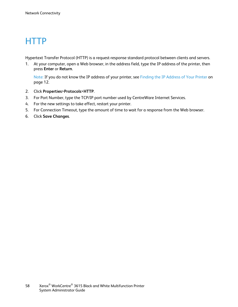### **HTTP**

Hypertext Transfer Protocol (HTTP) is a request-response standard protocol between clients and servers.

1. At your computer, open a Web browser, in the address field, type the IP address of the printer, then press **Enter** or **Return**.

- 2. Click **Properties**>**Protocols**>**HTTP**.
- 3. For Port Number, type the TCP/IP port number used by CentreWare Internet Services.
- 4. For the new settings to take effect, restart your printer.
- 5. For Connection Timeout, type the amount of time to wait for a response from the Web browser.
- 6. Click **Save Changes**.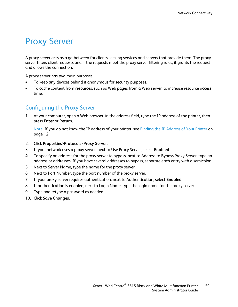### Proxy Server

A proxy server acts as a go-between for clients seeking services and servers that provide them. The proxy server filters client requests and if the requests meet the proxy server filtering rules, it grants the request and allows the connection.

A proxy server has two main purposes:

- To keep any devices behind it anonymous for security purposes.
- To cache content from resources, such as Web pages from a Web server, to increase resource access time.

#### Configuring the Proxy Server

1. At your computer, open a Web browser, in the address field, type the IP address of the printer, then press **Enter** or **Return**.

- 2. Click **Properties**>**Protocols**>**Proxy Server**.
- 3. If your network uses a proxy server, next to Use Proxy Server, select **Enabled**.
- 4. To specify an address for the proxy server to bypass, next to Address to Bypass Proxy Server, type an address or addresses. If you have several addresses to bypass, separate each entry with a semicolon.
- 5. Next to Server Name, type the name for the proxy server.
- 6. Next to Port Number, type the port number of the proxy server.
- 7. If your proxy server requires authentication, next to Authentication, select **Enabled**.
- 8. If authentication is enabled, next to Login Name, type the login name for the proxy server.
- 9. Type and retype a password as needed.
- 10. Click **Save Changes**.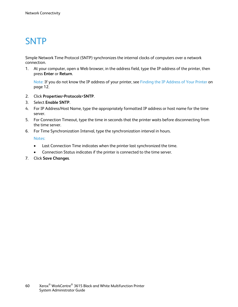### **SNTP**

Simple Network Time Protocol (SNTP) synchronizes the internal clocks of computers over a network connection.

1. At your computer, open a Web browser, in the address field, type the IP address of the printer, then press **Enter** or **Return**.

Note: If you do not know the IP address of your printer, see Finding the IP Address of Your Printer on pag[e 12.](#page-11-0)

- 2. Click **Properties**>**Protocols**>**SNTP**.
- 3. Select **Enable SNTP**.
- 4. For IP Address/Host Name, type the appropriately formatted IP address or host name for the time server.
- 5. For Connection Timeout, type the time in seconds that the printer waits before disconnecting from the time server.
- 6. For Time Synchronization Interval, type the synchronization interval in hours.

Notes:

- Last Connection Time indicates when the printer last synchronized the time.
- Connection Status indicates if the printer is connected to the time server.
- 7. Click **Save Changes**.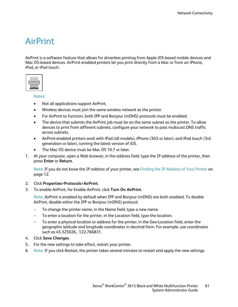### AirPrint

AirPrint is a software feature that allows for driverless printing from Apple iOS-based mobile devices and Mac OS-based devices. AirPrint-enabled printers let you print directly from a Mac or from an iPhone, iPad, or iPod touch.

| <b>AirPrint</b> |  |
|-----------------|--|

Notes:

- Not all applications support AirPrint.
- Wireless devices must join the same wireless network as the printer.
- For AirPrint to function, both IPP and Bonjour (mDNS) protocols must be enabled.
- The device that submits the AirPrint job must be on the same subnet as the printer. To allow devices to print from different subnets, configure your network to pass multicast DNS traffic across subnets.
- AirPrint-enabled printers work with iPad (all models), iPhone (3GS or later), and iPod touch (3rd generation or later), running the latest version of iOS.
- The Mac OS device must be Mac OS 10.7 or later.
- 1. At your computer, open a Web browser, in the address field, type the IP address of the printer, then press **Enter** or **Return**.

Note: If you do not know the IP address of your printer, see Finding the IP Address of Your Printer on pag[e 12.](#page-11-0)

#### 2. Click **Properties**>**Protocols**>**AirPrint**.

3. To enable AirPrint, for Enable AirPrint, click **Turn On AirPrint**.

Note: AirPrint is enabled by default when IPP and Bonjour (mDNS) are both enabled. To disable AirPrint, disable either the IPP or Bonjour (mDNS) protocol.

- To change the printer name, in the Name field, type a new name.
- To enter a location for the printer, in the Location field, type the location.
- To enter a physical location or address for the printer, in the Geo-Location field, enter the geographic latitude and longitude coordinates in decimal form. For example, use coordinates such as 45.325026, -122.766831.
- 4. Click **Save Changes**.
- 5. For the new settings to take effect, restart your printer.
- 6. Note: If you click Restart, the printer takes several minutes to restart and apply the new settings.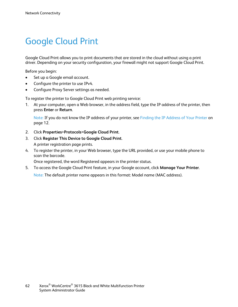### Google Cloud Print

Google Cloud Print allows you to print documents that are stored in the cloud without using a print driver. Depending on your security configuration, your firewall might not support Google Cloud Print.

Before you begin:

- Set up a Google email account.
- Configure the printer to use IPv4.
- Configure Proxy Server settings as needed.

To register the printer to Google Cloud Print web printing service:

1. At your computer, open a Web browser, in the address field, type the IP address of the printer, then press **Enter** or **Return**.

Note: If you do not know the IP address of your printer, see Finding the IP Address of Your Printer on pag[e 12.](#page-11-0)

- 2. Click **Properties**>**Protocols**>**Google Cloud Print**.
- 3. Click **Register This Device to Google Cloud Print**. A printer registration page prints.
- 4. To register the printer, in your Web browser, type the URL provided, or use your mobile phone to scan the barcode.

Once registered, the word Registered appears in the printer status.

5. To access the Google Cloud Print feature, in your Google account, click **Manage Your Printer**.

Note: The default printer name appears in this format: Model name (MAC address).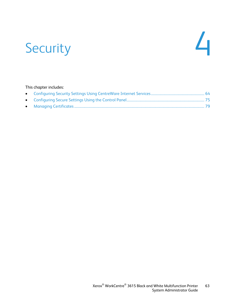# Security 4

#### This chapter includes: • [Configuring Security Settings Using CentreWare Internet Services.](#page-63-0)............................................................. [64](#page-63-0) • [Configuring Secure Settings Using the Control Panel.](#page-74-0)......................................................................................... [75](#page-74-0) • [Managing Certificates.](#page-78-0)...................................................................................................................................................... [79](#page-78-0)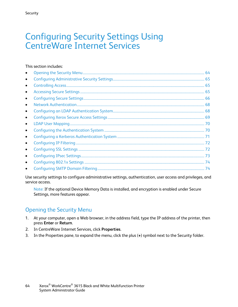### <span id="page-63-0"></span>Configuring Security Settings Using CentreWare Internet Services

#### This section includes:

| $\bullet$ |  |
|-----------|--|
| $\bullet$ |  |
| $\bullet$ |  |
| $\bullet$ |  |
| $\bullet$ |  |
| $\bullet$ |  |
| $\bullet$ |  |
| $\bullet$ |  |
| $\bullet$ |  |
| $\bullet$ |  |
| $\bullet$ |  |
| $\bullet$ |  |
| $\bullet$ |  |
| $\bullet$ |  |
| $\bullet$ |  |

Use security settings to configure administrative settings, authentication, user access and privileges, and service access.

Note: If the optional Device Memory Data is installed, and encryption is enabled under Secure Settings, more features appear.

#### <span id="page-63-1"></span>Opening the Security Menu

- 1. At your computer, open a Web browser, in the address field, type the IP address of the printer, then press **Enter** or **Return**.
- 2. In CentreWare Internet Services, click **Properties**.
- 3. In the Properties pane, to expand the menu, click the plus (**+**) symbol next to the Security folder.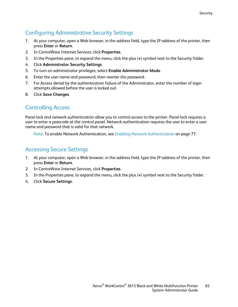### Configuring Administrative Security Settings

- <span id="page-64-0"></span>1. At your computer, open a Web browser, in the address field, type the IP address of the printer, then press **Enter** or **Return**.
- 2. In CentreWare Internet Services, click **Properties**.
- 3. In the Properties pane, to expand the menu, click the plus (**+**) symbol next to the Security folder.
- 4. Click **Administrator Security Settings**.
- 5. To turn on administrator privileges, select **Enable Administrator Mode**.
- 6. Enter the user name and password, then reenter the password.
- 7. For Access denial by the authentication failure of the Administrator, enter the number of login attempts allowed before the user is locked out.
- <span id="page-64-1"></span>8. Click **Save Changes**.

### Controlling Access

Panel lock and network authentication allow you to control access to the printer. Panel lock requires a user to enter a passcode at the control panel. Network authentication requires the user to enter a user name and password that is valid for that network.

Note: To enable Network Authentication, see Enabling Network Authentication on pag[e 77.](#page-76-0)

#### <span id="page-64-2"></span>Accessing Secure Settings

- 1. At your computer, open a Web browser, in the address field, type the IP address of the printer, then press **Enter** or **Return**.
- 2. In CentreWare Internet Services, click **Properties**.
- 3. In the Properties pane, to expand the menu, click the plus (**+**) symbol next to the Security folder.
- 4. Click **Secure Settings**.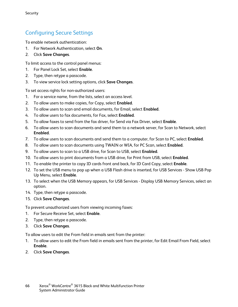### Configuring Secure Settings

<span id="page-65-0"></span>To enable network authentication:

- 1. For Network Authentication, select **On**.
- 2. Click **Save Changes**.

To limit access to the control panel menus:

- 1. For Panel Lock Set, select **Enable**.
- 2. Type, then retype a passcode.
- 3. To view service lock setting options, click **Save Changes**.

To set access rights for non-authorized users:

- 1. For a service name, from the lists, select an access level.
- 2. To allow users to make copies, for Copy, select **Enabled**.
- 3. To allow users to scan and email documents, for Email, select **Enabled**.
- 4. To allow users to fax documents, for Fax, select **Enabled**.
- 5. To allow faxes to send from the fax driver, for Send via Fax Driver, select **Enable**.
- 6. To allow users to scan documents and send them to a network server, for Scan to Network, select **Enabled**.
- 7. To allow users to scan documents and send them to a computer, for Scan to PC, select **Enabled**.
- 8. To allow users to scan documents using TWAIN or WIA, for PC Scan, select **Enabled**.
- 9. To allow users to scan to a USB drive, for Scan to USB, select **Enabled**.
- 10. To allow users to print documents from a USB drive, for Print from USB, select **Enabled**.
- 11. To enable the printer to copy ID cards front and back, for ID Card Copy, select **Enable**.
- 12. To set the USB menu to pop up when a USB Flash drive is inserted, for USB Services Show USB Pop Up Menu, select **Enable**.
- 13. To select when the USB Memory appears, for USB Services Display USB Memory Services, select an option.
- 14. Type, then retype a passcode.
- 15. Click **Save Changes**.

To prevent unauthorized users from viewing incoming faxes:

- 1. For Secure Receive Set, select **Enable**.
- 2. Type, then retype a passcode.
- 3. Click **Save Changes**.

To allow users to edit the From field in emails sent from the printer:

- 1. To allow users to edit the From field in emails sent from the printer, for Edit Email From Field, select **Enable**.
- 2. Click **Save Changes**.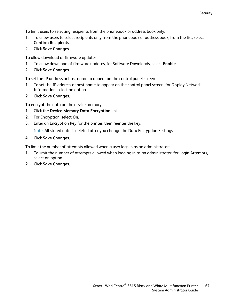To limit users to selecting recipients from the phonebook or address book only:

- 1. To allow users to select recipients only from the phonebook or address book, from the list, select **Confirm Recipients**.
- 2. Click **Save Changes**.

To allow download of firmware updates:

- 1. To allow download of firmware updates, for Software Downloads, select **Enable**.
- 2. Click **Save Changes**.

To set the IP address or host name to appear on the control panel screen:

- 1. To set the IP address or host name to appear on the control panel screen, for Display Network Information, select an option.
- 2. Click **Save Changes**.

To encrypt the data on the device memory:

- 1. Click the **Device Memory Data Encryption** link.
- 2. For Encryption, select **On**.
- 3. Enter an Encryption Key for the printer, then reenter the key.

Note: All stored data is deleted after you change the Data Encryption Settings.

4. Click **Save Changes**.

To limit the number of attempts allowed when a user logs in as an administrator:

- 1. To limit the number of attempts allowed when logging in as an administrator, for Login Attempts, select an option.
- 2. Click **Save Changes**.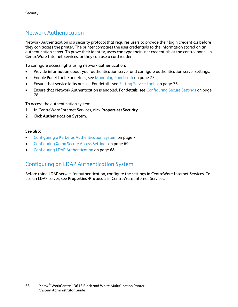#### Network Authentication

<span id="page-67-0"></span>Network Authentication is a security protocol that requires users to provide their login credentials before they can access the printer. The printer compares the user credentials to the information stored on an authentication server. To prove their identity, users can type their user credentials at the control panel, in CentreWare Internet Services, or they can use a card reader.

To configure access rights using network authentication:

- Provide information about your authentication server and configure authentication server settings.
- Enable Panel Lock. For details, see Managing Panel Lock on pag[e 75.](#page-74-1)
- Ensure that service locks are set. For details, see Setting Service Locks on page [76.](#page-75-0)
- Ensure that Network Authentication is enabled. For details, see Configuring Secure Settings on page [78.](#page-77-0)

To access the authentication system:

- 1. In CentreWare Internet Services, click **Properties**>**Security**.
- 2. Click **Authentication System**.

#### See also:

- Configuring a Kerberos Authentication System on page [71](#page-70-0)
- Configuring Xerox Secure Access Settings on pag[e 69](#page-68-0)
- <span id="page-67-1"></span>• Configuring LDAP Authentication on page [68](#page-67-1)

#### Configuring an LDAP Authentication System

Before using LDAP servers for authentication, configure the settings in CentreWare Internet Services. To use an LDAP server, see **Properties**>**Protocols** in CentreWare Internet Services.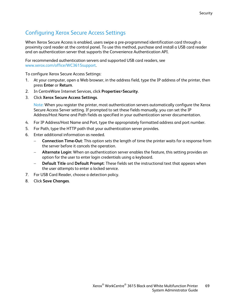### Configuring Xerox Secure Access Settings

<span id="page-68-0"></span>When Xerox Secure Access is enabled, users swipe a pre-programmed identification card through a proximity card reader at the control panel. To use this method, purchase and install a USB card reader and an authentication server that supports the Convenience Authentication API.

For recommended authentication servers and supported USB card readers, see [www.xerox.com/office/WC3615support.](http://www.office.xerox.com/cgi-bin/printer.pl?APP=udpdfs&Page=Color&Model=WorkCentre+WC3615&PgName=tech&Language=English)

To configure Xerox Secure Access Settings:

- 1. At your computer, open a Web browser, in the address field, type the IP address of the printer, then press **Enter** or **Return**.
- 2. In CentreWare Internet Services, click **Properties**>**Security**.
- 3. Click **Xerox Secure Access Settings**.

Note: When you register the printer, most authentication servers automatically configure the Xerox Secure Access Server setting. If prompted to set these fields manually, you can set the IP Address/Host Name and Path fields as specified in your authentication server documentation.

- 4. For IP Address/Host Name and Port, type the appropriately formatted address and port number.
- 5. For Path, type the HTTP path that your authentication server provides.
- 6. Enter additional information as needed.
	- − **Connection Time-Out**: This option sets the length of time the printer waits for a response from the server before it cancels the operation.
	- − **Alternate Login**: When an authentication server enables the feature, this setting provides an option for the user to enter login credentials using a keyboard.
	- − **Default Title** and **Default Prompt**: These fields set the instructional text that appears when the user attempts to enter a locked service.
- 7. For USB Card Reader, choose a detection policy.
- 8. Click **Save Changes**.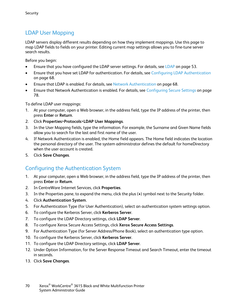### LDAP User Mapping

<span id="page-69-0"></span>LDAP servers display different results depending on how they implement mappings. Use this page to map LDAP fields to fields on your printer. Editing current map settings allows you to fine-tune server search results.

Before you begin:

- Ensure that you have configured the LDAP server settings. For details, see LDAP on pag[e 53.](#page-52-0)
- Ensure that you have set LDAP for authentication. For details, see Configuring LDAP Authentication on page [68.](#page-67-1)
- Ensure that LDAP is enabled. For details, see Network Authentication on page [68.](#page-67-0)
- Ensure that Network Authentication is enabled. For details, see Configuring Secure Settings on page [78.](#page-77-0)

To define LDAP user mappings:

- 1. At your computer, open a Web browser, in the address field, type the IP address of the printer, then press **Enter** or **Return**.
- 2. Click **Properties**>**Protocols**>**LDAP User Mappings**.
- 3. In the User Mapping fields, type the information. For example, the Surname and Given Name fields allow you to search for the last and first name of the user.
- 4. If Network Authentication is enabled, the Home field appears. The Home field indicates the location the personal directory of the user. The system administrator defines the default for homeDirectory when the user account is created.
- <span id="page-69-1"></span>5. Click **Save Changes**.

#### Configuring the Authentication System

- 1. At your computer, open a Web browser, in the address field, type the IP address of the printer, then press **Enter** or **Return**.
- 2. In CentreWare Internet Services, click **Properties**.
- 3. In the Properties pane, to expand the menu, click the plus (**+**) symbol next to the Security folder.
- 4. Click **Authentication System**.
- 5. For Authentication Type (for User Authentication), select an authentication system settings option.
- 6. To configure the Kerberos Server, click **Kerberos Server**.
- 7. To configure the LDAP Directory settings, click **LDAP Server**.
- 8. To configure Xerox Secure Access Settings, click **Xerox Secure Access Settings**.
- 9. For Authentication Type (for Server Address/Phone Book), select an authentication type option.
- 10. To configure the Kerberos Server, click **Kerberos Server**.
- 11. To configure the LDAP Directory settings, click **LDAP Server**.
- 12. Under Option Information, for the Server Response Timeout and Search Timeout, enter the timeout in seconds.
- 13. Click **Save Changes**.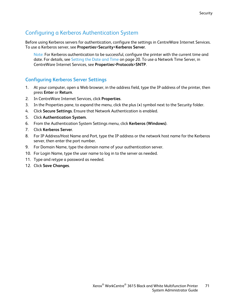### Configuring a Kerberos Authentication System

<span id="page-70-0"></span>Before using Kerberos servers for authentication, configure the settings in CentreWare Internet Services. To use a Kerberos server, see **Properties**>**Security**>**Kerberos Server**.

Note: For Kerberos authentication to be successful, configure the printer with the current time and date. For details, see Setting the Date and Time on page [20.](#page-19-0) To use a Network Time Server, in CentreWare Internet Services, see **Properties**>**Protocols**>**SNTP**.

#### **Configuring Kerberos Server Settings**

- 1. At your computer, open a Web browser, in the address field, type the IP address of the printer, then press **Enter** or **Return**.
- 2. In CentreWare Internet Services, click **Properties**.
- 3. In the Properties pane, to expand the menu, click the plus (**+**) symbol next to the Security folder.
- 4. Click **Secure Settings**. Ensure that Network Authentication is enabled.
- 5. Click **Authentication System**.
- 6. From the Authentication System Settings menu, click **Kerberos (Windows)**.
- 7. Click **Kerberos Server**.
- 8. For IP Address/Host Name and Port, type the IP address or the network host name for the Kerberos server, then enter the port number.
- 9. For Domain Name, type the domain name of your authentication server.
- 10. For Login Name, type the user name to log in to the server as needed.
- 11. Type and retype a password as needed.
- 12. Click **Save Changes**.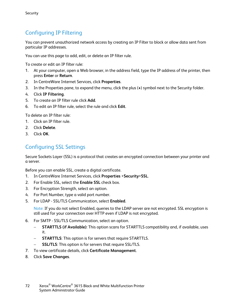### Configuring IP Filtering

<span id="page-71-0"></span>You can prevent unauthorized network access by creating an IP Filter to block or allow data sent from particular IP addresses.

You can use this page to add, edit, or delete an IP filter rule.

To create or edit an IP filter rule:

- 1. At your computer, open a Web browser, in the address field, type the IP address of the printer, then press **Enter** or **Return**.
- 2. In CentreWare Internet Services, click **Properties**.
- 3. In the Properties pane, to expand the menu, click the plus (**+**) symbol next to the Security folder.
- 4. Click **IP Filtering**.
- 5. To create an IP filter rule click **Add**.
- 6. To edit an IP filter rule, select the rule and click **Edit**.

To delete an IP filter rule:

- 1. Click an IP filter rule.
- 2. Click **Delete**.
- <span id="page-71-1"></span>3. Click **OK**.

#### Configuring SSL Settings

Secure Sockets Layer (SSL) is a protocol that creates an encrypted connection between your printer and a server.

Before you can enable SSL, create a digital certificate.

- 1. In CentreWare Internet Services, click **Properties** >**Security**>**SSL**.
- 2. For Enable SSL, select the **Enable SSL** check box.
- 3. For Encryption Strength, select an option.
- 4. For Port Number, type a valid port number.
- 5. For LDAP SSL/TLS Communication, select **Enabled**.

Note: If you do not select Enabled, queries to the LDAP server are not encrypted. SSL encryption is still used for your connection over HTTP even if LDAP is not encrypted.

- 6. For SMTP SSL/TLS Communication, select an option.
	- − **STARTTLS (if Available)**: This option scans for STARTTLS compatibility and, if available, uses it.
	- − **STARTTLS**: This option is for servers that require STARTTLS.
	- − **SSL/TLS**: This option is for servers that require SSL/TLS.
- 7. To view certificate details, click **Certificate Management**.
- 8. Click **Save Changes**.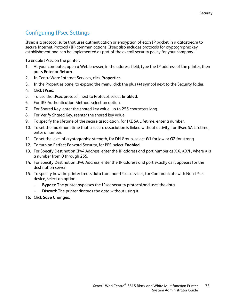### Configuring IPsec Settings

IPsec is a protocol suite that uses authentication or encryption of each IP packet in a datastream to secure Internet Protocol (IP) communications. IPsec also includes protocols for cryptographic key establishment and can be implemented as part of the overall security policy for your company.

To enable IPsec on the printer:

- 1. At your computer, open a Web browser, in the address field, type the IP address of the printer, then press **Enter** or **Return**.
- 2. In CentreWare Internet Services, click **Properties**.
- 3. In the Properties pane, to expand the menu, click the plus (**+**) symbol next to the Security folder.
- 4. Click **IPsec**.
- 5. To use the IPsec protocol, next to Protocol, select **Enabled**.
- 6. For IKE Authentication Method, select an option.
- 7. For Shared Key, enter the shared key value, up to 255 characters long.
- 8. For Verify Shared Key, reenter the shared key value.
- 9. To specify the lifetime of the secure association, for IKE SA Lifetime, enter a number.
- 10. To set the maximum time that a secure association is linked without activity, for IPsec SA Lifetime, enter a number.
- 11. To set the level of cryptographic strength, for DH Group, select **G1** for low or **G2** for strong.
- 12. To turn on Perfect Forward Security, for PFS, select **Enabled**.
- 13. For Specify Destination IPv4 Address, enter the IP address and port number as X.X. X.X/P, where X is a number from 0 through 255.
- 14. For Specify Destination IPv6 Address, enter the IP address and port exactly as it appears for the destination server.
- 15. To specify how the printer treats data from non-IPsec devices, for Communicate with Non-IPsec device, select an option.
	- **Bypass:** The printer bypasses the IPsec security protocol and uses the data.
	- **Discard:** The printer discards the data without using it.
- 16. Click **Save Changes**.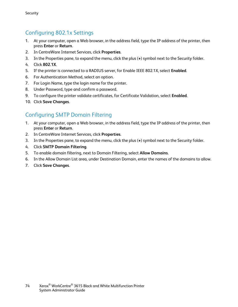#### Configuring 802.1x Settings

- 1. At your computer, open a Web browser, in the address field, type the IP address of the printer, then press **Enter** or **Return**.
- 2. In CentreWare Internet Services, click **Properties**.
- 3. In the Properties pane, to expand the menu, click the plus (**+**) symbol next to the Security folder.
- 4. Click **802.1X**.
- 5. If the printer is connected to a RADIUS server, for Enable IEEE 802.1X, select **Enabled**.
- 6. For Authentication Method, select an option.
- 7. For Login Name, type the login name for the printer.
- 8. Under Password, type and confirm a password.
- 9. To configure the printer validate certificates, for Certificate Validation, select **Enabled**.
- 10. Click **Save Changes**.

#### Configuring SMTP Domain Filtering

- 1. At your computer, open a Web browser, in the address field, type the IP address of the printer, then press **Enter** or **Return**.
- 2. In CentreWare Internet Services, click **Properties**.
- 3. In the Properties pane, to expand the menu, click the plus (**+**) symbol next to the Security folder.
- 4. Click **SMTP Domain Filtering**.
- 5. To enable domain filtering, next to Domain Filtering, select **Allow Domains**.
- 6. In the Allow Domain List area, under Destination Domain, enter the names of the domains to allow.
- 7. Click **Save Changes**.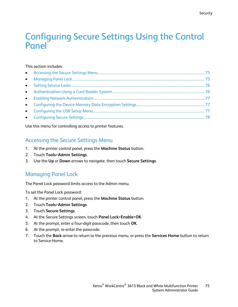## Configuring Secure Settings Using the Control Panel

#### This section includes:

<span id="page-74-0"></span>Use this menu for controlling access to printer features.

#### Accessing the Secure Settings Menu

- 1. At the printer control panel, press the **Machine Status** button.
- 2. Touch **Tools**>**Admin Settings**.
- <span id="page-74-1"></span>3. Use the **Up** or **Down** arrows to navigate, then touch **Secure Settings**.

#### Managing Panel Lock

The Panel Lock password limits access to the Admin menu.

To set the Panel Lock password:

- 1. At the printer control panel, press the **Machine Status** button.
- 2. Touch **Tools**>**Admin Settings**.
- 3. Touch **Secure Settings**.
- 4. At the Secure Settings screen, touch **Panel Lock**>**Enable**>**OK**.
- 5. At the prompt, enter a four-digit passcode, then touch **OK**.
- 6. At the prompt, re-enter the passcode.
- 7. Touch the **Back** arrow to return to the previous menu, or press the **Services Home** button to return to Service Home.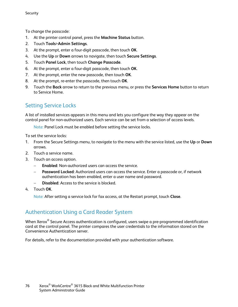To change the passcode:

- 1. At the printer control panel, press the **Machine Status** button.
- 2. Touch **Tools**>**Admin Settings**.
- 3. At the prompt, enter a four-digit passcode, then touch **OK**.
- 4. Use the **Up** or **Down** arrows to navigate, then touch **Secure Settings**.
- 5. Touch **Panel Lock**, then touch **Change Passcode**.
- 6. At the prompt, enter a four-digit passcode, then touch **OK**.
- 7. At the prompt, enter the new passcode, then touch **OK**.
- 8. At the prompt, re-enter the passcode, then touch **OK**.
- 9. Touch the **Back** arrow to return to the previous menu, or press the **Services Home** button to return to Service Home.

#### <span id="page-75-0"></span>Setting Service Locks

A list of installed services appears in this menu and lets you configure the way they appear on the control panel for non-authorized users. Each service can be set from a selection of access levels.

Note: Panel Lock must be enabled before setting the service locks.

To set the service locks:

- 1. From the Secure Settings menu, to navigate to the menu with the service listed, use the **Up** or **Down** arrows.
- 2. Touch a service name.
- 3. Touch an access option.
	- − **Enabled**: Non-authorized users can access the service.
	- **Password Locked:** Authorized users can access the service. Enter a passcode or, if network authentication has been enabled, enter a user name and password.
	- − **Disabled**: Access to the service is blocked.
- 4. Touch **OK**.

Note: After setting a service lock for fax access, at the Restart prompt, touch **Close**.

#### <span id="page-75-1"></span>Authentication Using a Card Reader System

When Xerox<sup>®</sup> Secure Access authentication is configured, users swipe a pre-programmed identification card at the control panel. The printer compares the user credentials to the information stored on the Convenience Authentication server.

For details, refer to the documentation provided with your authentication software.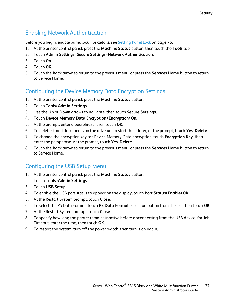#### Enabling Network Authentication

<span id="page-76-0"></span>Before you begin, enable panel lock. For details, see Setting Panel Lock on pag[e 75.](#page-74-1)

- 1. At the printer control panel, press the **Machine Status** button, then touch the **Tools** tab.
- 2. Touch **Admin Settings**>**Secure Settings**>**Network Authentication**.
- 3. Touch **On**.
- 4. Touch **OK**.
- 5. Touch the **Back** arrow to return to the previous menu, or press the **Services Home** button to return to Service Home.

### <span id="page-76-1"></span>Configuring the Device Memory Data Encryption Settings

- 1. At the printer control panel, press the **Machine Status** button.
- 2. Touch **Tools**>**Admin Settings**.
- 3. Use the **Up** or **Down** arrows to navigate, then touch **Secure Settings**.
- 4. Touch **Device Memory Data Encryption**>**Encryption**>**On**.
- 5. At the prompt, enter a passphrase, then touch **OK**.
- 6. To delete stored documents on the drive and restart the printer, at the prompt, touch **Yes, Delete**.
- 7. To change the encryption key for Device Memory Data encryption, touch **Encryption Key**, then enter the passphrase. At the prompt, touch **Yes, Delete**.
- 8. Touch the **Back** arrow to return to the previous menu, or press the **Services Home** button to return to Service Home.

### <span id="page-76-2"></span>Configuring the USB Setup Menu

- 1. At the printer control panel, press the **Machine Status** button.
- 2. Touch **Tools**>**Admin Settings**.
- 3. Touch **USB Setup**.
- 4. To enable the USB port status to appear on the display, touch **Port Status**>**Enable**>**OK**.
- 5. At the Restart System prompt, touch **Close**.
- 6. To select the PS Data Format, touch **PS Data Format**, select an option from the list, then touch **OK**.
- 7. At the Restart System prompt, touch **Close**.
- 8. To specify how long the printer remains inactive before disconnecting from the USB device, for Job Timeout, enter the time, then touch **OK**.
- 9. To restart the system, turn off the power switch, then turn it on again.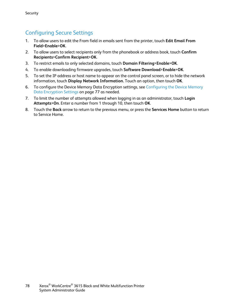#### Configuring Secure Settings

- <span id="page-77-0"></span>1. To allow users to edit the From field in emails sent from the printer, touch **Edit Email From Field**>**Enable**>**OK**.
- 2. To allow users to select recipients only from the phonebook or address book, touch **Confirm Recipients**>**Confirm Recipient**>**OK**.
- 3. To restrict emails to only selected domains, touch **Domain Filtering**>**Enable**>**OK**.
- 4. To enable downloading firmware upgrades, touch **Software Download**>**Enable**>**OK**.
- 5. To set the IP address or host name to appear on the control panel screen, or to hide the network information, touch **Display Network Information.** Touch an option, then touch **OK**.
- 6. To configure the Device Memory Data Encryption settings, see Configuring the Device Memory Data Encryption Settings on page [77](#page-76-1) as needed.
- 7. To limit the number of attempts allowed when logging in as an administrator, touch **Login Attempts**>**On**. Enter a number from 1 through 10, then touch **OK**.
- 8. Touch the **Back** arrow to return to the previous menu, or press the **Services Home** button to return to Service Home.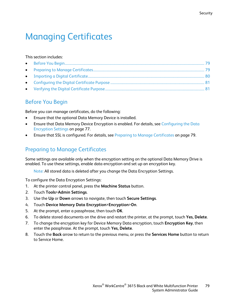# Managing Certificates

#### This section includes:

#### <span id="page-78-0"></span>Before You Begin

Before you can manage certificates, do the following:

- Ensure that the optional Data Memory Device is installed.
- Ensure that Data Memory Device Encryption is enabled. For details, see Configuring the Data Encryption Settings on page [77.](#page-76-1)
- <span id="page-78-1"></span>• Ensure that SSL is configured. For details, see Preparing to Manage Certificates on page [79.](#page-78-1)

#### Preparing to Manage Certificates

Some settings are available only when the encryption setting on the optional Data Memory Drive is enabled. To use these settings, enable data encryption and set up an encryption key.

Note: All stored data is deleted after you change the Data Encryption Settings.

To configure the Data Encryption Settings:

- 1. At the printer control panel, press the **Machine Status** button.
- 2. Touch **Tools**>**Admin Settings**.
- 3. Use the **Up** or **Down** arrows to navigate, then touch **Secure Settings**.
- 4. Touch **Device Memory Data Encryption**>**Encryption**>**On**.
- 5. At the prompt, enter a passphrase, then touch **OK**.
- 6. To delete stored documents on the drive and restart the printer, at the prompt, touch **Yes, Delete**.
- 7. To change the encryption key for Device Memory Data encryption, touch **Encryption Key**, then enter the passphrase. At the prompt, touch **Yes, Delete**.
- 8. Touch the **Back** arrow to return to the previous menu, or press the **Services Home** button to return to Service Home.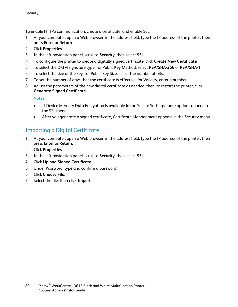To enable HTTPS communication, create a certificate, and enable SSL:

- 1. At your computer, open a Web browser, in the address field, type the IP address of the printer, then press **Enter** or **Return**.
- 2. Click **Properties**.
- 3. In the left navigation panel, scroll to **Security**, then select **SSL**.
- 4. To configure the printer to create a digitally signed certificate, click **Create New Certificate**.
- 5. To select the DKIM signature type, for Public Key Method, select **RSA/SHA-256** or **RSA/SHA-1**.
- 6. To select the size of the key, for Public Key Size, select the number of bits.
- 7. To set the number of days that the certificate is effective, for Validity, enter a number.
- 8. Adjust the parameters of the new digital certificate as needed, then, to restart the printer, click **Generate Signed Certificate**.

Notes:

- If Device Memory Data Encryption is available in the Secure Settings, more options appear in the SSL menu.
- After you generate a signed certificate, Certificate Management appears in the Security menu.

#### <span id="page-79-0"></span>Importing a Digital Certificate

- 1. At your computer, open a Web browser, in the address field, type the IP address of the printer, then press **Enter** or **Return**.
- 2. Click **Properties**.
- 3. In the left navigation panel, scroll to **Security**, then select **SSL**.
- 4. Click **Upload Signed Certificate**.
- 5. Under Password, type and confirm a password.
- 6. Click **Choose File**.
- 7. Select the file, then click **Import**.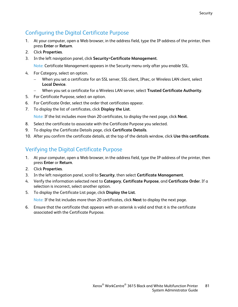#### Configuring the Digital Certificate Purpose

- <span id="page-80-0"></span>1. At your computer, open a Web browser, in the address field, type the IP address of the printer, then press **Enter** or **Return**.
- 2. Click **Properties**.
- 3. In the left navigation panel, click **Security**>**Certificate Management**.

Note: Certificate Management appears in the Security menu only after you enable SSL.

- 4. For Category, select an option.
	- When you set a certificate for an SSL server, SSL client, IPsec, or Wireless LAN client, select **Local Device**.
	- − When you set a certificate for a Wireless LAN server, select **Trusted Certificate Authority**.
- 5. For Certificate Purpose, select an option.
- 6. For Certificate Order, select the order that certificates appear.
- 7. To display the list of certificates, click **Display the List**.

Note: If the list includes more than 20 certificates, to display the next page, click **Next**.

- 8. Select the certificate to associate with the Certificate Purpose you selected.
- 9. To display the Certificate Details page, click **Certificate Details**.
- <span id="page-80-1"></span>10. After you confirm the certificate details, at the top of the details window, click **Use this certificate**.

#### Verifying the Digital Certificate Purpose

- 1. At your computer, open a Web browser, in the address field, type the IP address of the printer, then press **Enter** or **Return**.
- 2. Click **Properties**.
- 3. In the left navigation panel, scroll to **Security**, then select **Certificate Management**.
- 4. Verify the information selected next to **Category**, **Certificate Purpose**, and **Certificate Order**. If a selection is incorrect, select another option.
- 5. To display the Certificate List page, click **Display the List**.

Note: If the list includes more than 20 certificates, click **Next** to display the next page.

6. Ensure that the certificate that appears with an asterisk is valid and that it is the certificate associated with the Certificate Purpose.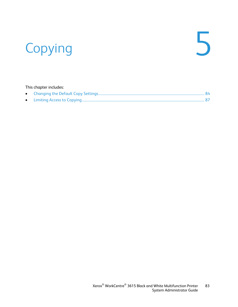# Copying 5

#### This chapter includes: • [Changing the Default Copy Settings.](#page-83-0).......................................................................................................................... [84](#page-83-0) • [Limiting Access to Copying.](#page-86-0)............................................................................................................................................. [87](#page-86-0)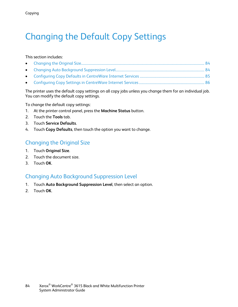# <span id="page-83-0"></span>Changing the Default Copy Settings

#### This section includes:

The printer uses the default copy settings on all copy jobs unless you change them for an individual job. You can modify the default copy settings.

To change the default copy settings:

- 1. At the printer control panel, press the **Machine Status** button.
- 2. Touch the **Tools** tab.
- 3. Touch **Service Defaults**.
- <span id="page-83-1"></span>4. Touch **Copy Defaults**, then touch the option you want to change.

#### Changing the Original Size

- 1. Touch **Original Size**.
- 2. Touch the document size.
- <span id="page-83-2"></span>3. Touch **OK**.

#### Changing Auto Background Suppression Level

- 1. Touch **Auto Background Suppression Level**, then select an option.
- 2. Touch **OK**.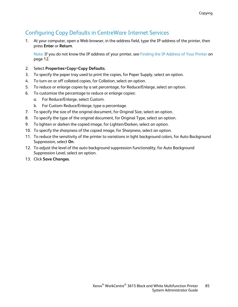#### Configuring Copy Defaults in CentreWare Internet Services

<span id="page-84-0"></span>1. At your computer, open a Web browser, in the address field, type the IP address of the printer, then press **Enter** or **Return**.

Note: If you do not know the IP address of your printer, see Finding the IP Address of Your Printer on pag[e 12.](#page-11-0)

- 2. Select **Properties**>**Copy**>**Copy Defaults**.
- 3. To specify the paper tray used to print the copies, for Paper Supply, select an option.
- 4. To turn on or off collated copies, for Collation, select an option.
- 5. To reduce or enlarge copies by a set percentage, for Reduce/Enlarge, select an option.
- 6. To customize the percentage to reduce or enlarge copies:
	- a. For Reduce/Enlarge, select Custom.
	- b. For Custom Reduce/Enlarge, type a percentage.
- 7. To specify the size of the original document, for Original Size, select an option.
- 8. To specify the type of the original document, for Original Type, select an option.
- 9. To lighten or darken the copied image, for Lighten/Darken, select an option.
- 10. To specify the sharpness of the copied image, for Sharpness, select an option.
- 11. To reduce the sensitivity of the printer to variations in light background colors, for Auto Background Suppression, select **On**.
- 12. To adjust the level of the auto background suppression functionality, for Auto Background Suppression Level, select an option.
- 13. Click **Save Changes**.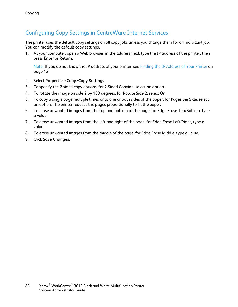#### Configuring Copy Settings in CentreWare Internet Services

<span id="page-85-0"></span>The printer uses the default copy settings on all copy jobs unless you change them for an individual job. You can modify the default copy settings.

1. At your computer, open a Web browser, in the address field, type the IP address of the printer, then press **Enter** or **Return**.

Note: If you do not know the IP address of your printer, see Finding the IP Address of Your Printer on pag[e 12.](#page-11-0)

- 2. Select **Properties**>**Copy**>**Copy Settings**.
- 3. To specify the 2-sided copy options, for 2 Sided Copying, select an option.
- 4. To rotate the image on side 2 by 180 degrees, for Rotate Side 2, select **On**.
- 5. To copy a single page multiple times onto one or both sides of the paper, for Pages per Side, select an option. The printer reduces the pages proportionally to fit the paper.
- 6. To erase unwanted images from the top and bottom of the page, for Edge Erase Top/Bottom, type a value.
- 7. To erase unwanted images from the left and right of the page, for Edge Erase Left/Right, type a value.
- 8. To erase unwanted images from the middle of the page, for Edge Erase Middle, type a value.
- 9. Click **Save Changes**.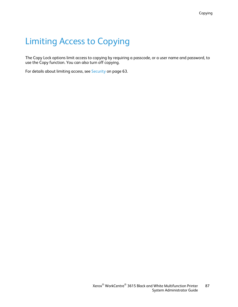# <span id="page-86-0"></span>Limiting Access to Copying

The Copy Lock options limit access to copying by requiring a passcode, or a user name and password, to use the Copy function. You can also turn off copying.

For details about limiting access, see Security on page [63.](#page-62-0)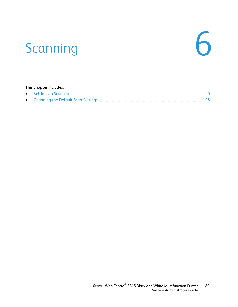# Scanning 6

| This chapter includes: |  |  |
|------------------------|--|--|
|                        |  |  |
|                        |  |  |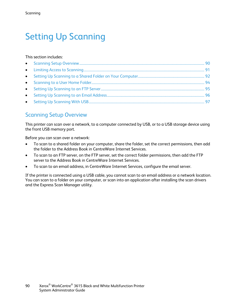# <span id="page-89-0"></span>Setting Up Scanning

#### This section includes:

#### <span id="page-89-1"></span>Scanning Setup Overview

This printer can scan over a network, to a computer connected by USB, or to a USB storage device using the front USB memory port.

Before you can scan over a network:

- To scan to a shared folder on your computer, share the folder, set the correct permissions, then add the folder to the Address Book in CentreWare Internet Services.
- To scan to an FTP server, on the FTP server, set the correct folder permissions, then add the FTP server to the Address Book in CentreWare Internet Services.
- To scan to an email address, in CentreWare Internet Services, configure the email server.

If the printer is connected using a USB cable, you cannot scan to an email address or a network location. You can scan to a folder on your computer, or scan into an application after installing the scan drivers and the Express Scan Manager utility.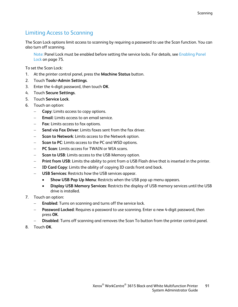#### Limiting Access to Scanning

<span id="page-90-0"></span>The Scan Lock options limit access to scanning by requiring a password to use the Scan function. You can also turn off scanning.

Note: Panel Lock must be enabled before setting the service locks. For details, see Enabling Panel Lock on page [75.](#page-74-1)

To set the Scan Lock:

- 1. At the printer control panel, press the **Machine Status** button.
- 2. Touch **Tools**>**Admin Settings**.
- 3. Enter the 4-digit password, then touch **OK**.
- 4. Touch **Secure Settings**.
- 5. Touch **Service Lock**.
- 6. Touch an option:
	- − **Copy**: Limits access to copy options.
	- **Email:** Limits access to an email service.
	- − **Fax**: Limits access to fax options.
	- **Send via Fax Driver:** Limits faxes sent from the fax driver.
	- **Scan to Network: Limits access to the Network option.**
	- **Scan to PC:** Limits access to the PC and WSD options.
	- − **PC Scan**: Limits access for TWAIN or WIA scans.
	- **Scan to USB:** Limits access to the USB Memory option.
	- − **Print from USB**: Limits the ability to print from a USB Flash drive that is inserted in the printer.
	- − **ID Card Copy**: Limits the ability of copying ID cards front and back.
	- − **USB Services**: Restricts how the USB services appear.
		- **Show USB Pop Up Menu**: Restricts when the USB pop up menu appears.
		- **Display USB Memory Services**: Restricts the display of USB memory services until the USB drive is installed.
- 7. Touch an option:
	- − **Enabled**: Turns on scanning and turns off the service lock.
	- − **Password Locked**: Requires a password to use scanning. Enter a new 4-digit password, then press **OK**.
	- − **Disabled**: Turns off scanning and removes the Scan To button from the printer control panel.
- 8. Touch **OK**.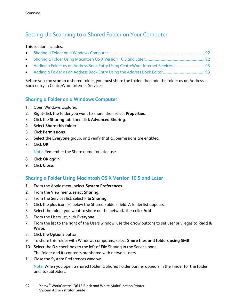#### <span id="page-91-0"></span>Setting Up Scanning to a Shared Folder on Your Computer

#### This section includes:

- [Sharing a Folder on a Windows Computer](#page-91-1) ............................................................................................................... [92](#page-91-1)
- [Sharing a Folder Using Macintosh OS X Version 10.5 and Later.](#page-91-2).................................................................... [92](#page-91-2)
- [Adding a Folder as an Address Book Entry Using CentreWare Internet Services.](#page-92-0)................................... [93](#page-92-0)
- [Adding a Folder as an Address Book Entry Using the Address Book Editor.](#page-92-1)............................................... [93](#page-92-1)

Before you can scan to a shared folder, you must share the folder, then add the folder as an Address Book entry in CentreWare Internet Services.

#### <span id="page-91-1"></span>**Sharing a Folder on a Windows Computer**

- 1. Open Windows Explorer.
- 2. Right-click the folder you want to share, then select **Properties**.
- 3. Click the **Sharing** tab, then click **Advanced Sharing**.
- 4. Select **Share this folder**.
- 5. Click **Permissions**.
- 6. Select the **Everyone** group, and verify that all permissions are enabled.
- 7. Click **OK**.

Note: Remember the Share name for later use.

- 8. Click **OK** again.
- <span id="page-91-2"></span>9. Click **Close**.

#### **Sharing a Folder Using Macintosh OS X Version 10.5 and Later**

- 1. From the Apple menu, select **System Preferences**.
- 2. From the View menu, select **Sharing**.
- 3. From the Services list, select **File Sharing**.
- 4. Click the plus icon (**+**) below the Shared Folders field. A folder list appears.
- 5. Select the folder you want to share on the network, then click **Add**.
- 6. From the Users list, click **Everyone**.
- 7. From the list to the right of the Users window, use the arrow buttons to set user privileges to **Read & Write**.
- 8. Click the **Options** button.
- 9. To share this folder with Windows computers, select **Share files and folders using SMB**.
- 10. Select the **On** check box to the left of File Sharing in the Service pane. The folder and its contents are shared with network users.
- 11. Close the System Preferences window.

Note: When you open a shared folder, a Shared Folder banner appears in the Finder for the folder and its subfolders.

92 Xerox<sup>®</sup> WorkCentre<sup>®</sup> 3615 Black and White Multifunction Printer System Administrator Guide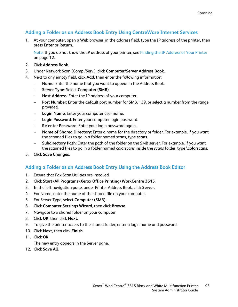#### **Adding a Folder as an Address Book Entry Using CentreWare Internet Services**

<span id="page-92-0"></span>1. At your computer, open a Web browser, in the address field, type the IP address of the printer, then press **Enter** or **Return**.

Note: If you do not know the IP address of your printer, see Finding the IP Address of Your Printer on page [12.](#page-11-0)

- 2. Click **Address Book**.
- 3. Under Network Scan (Comp./Serv.), click **Computer/Server Address Book**.
- 4. Next to any empty field, click **Add**, then enter the following information:
	- − **Name**: Enter the name that you want to appear in the Address Book.
	- − **Server Type**: Select **Computer (SMB)**.
	- − **Host Address:** Enter the IP address of your computer.
	- Port Number: Enter the default port number for SMB, 139, or select a number from the range provided.
	- − **Login Name**: Enter your computer user name.
	- − **Login Password**: Enter your computer login password.
	- − **Re-enter Password**: Enter your login password again.
	- − **Name of Shared Directory**: Enter a name for the directory or folder. For example, if you want the scanned files to go in a folder named scans, type **scans**.
	- − **Subdirectory Path**: Enter the path of the folder on the SMB server. For example, if you want the scanned files to go in a folder named *colorscans* inside the *scans* folder, type **\colorscans**.
- <span id="page-92-1"></span>5. Click **Save Changes**.

#### **Adding a Folder as an Address Book Entry Using the Address Book Editor**

- 1. Ensure that Fax Scan Utilities are installed.
- 2. Click **Start**>**All Programs**>**Xerox Office Printing**>**WorkCentre 3615**.
- 3. In the left navigation pane, under Printer Address Book, click **Server**.
- 4. For Name, enter the name of the shared file on your computer.
- 5. For Server Type, select **Computer (SMB)**.
- 6. Click **Computer Settings Wizard**, then click **Browse**.
- 7. Navigate to a shared folder on your computer.
- 8. Click **OK**, then click **Next**.
- 9. To give the printer access to the shared folder, enter a login name and password.
- 10. Click **Next**, then click **Finish**.
- 11. Click **OK**.

The new entry appears in the Server pane.

12. Click **Save All**.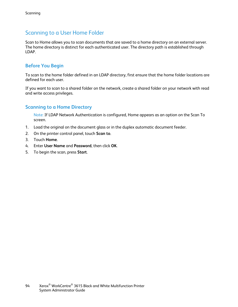#### Scanning to a User Home Folder

<span id="page-93-0"></span>Scan to Home allows you to scan documents that are saved to a home directory on an external server. The home directory is distinct for each authenticated user. The directory path is established through LDAP.

#### **Before You Begin**

To scan to the home folder defined in an LDAP directory, first ensure that the home folder locations are defined for each user.

If you want to scan to a shared folder on the network, create a shared folder on your network with read and write access privileges.

#### **Scanning to a Home Directory**

Note: If LDAP Network Authentication is configured, Home appears as an option on the Scan To screen.

- 1. Load the original on the document glass or in the duplex automatic document feeder.
- 2. On the printer control panel, touch **Scan to**.
- 3. Touch **Home**.
- 4. Enter **User Name** and **Password**, then click **OK**.
- 5. To begin the scan, press **Start**.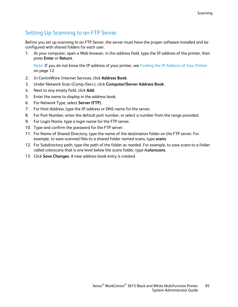#### Setting Up Scanning to an FTP Server

<span id="page-94-0"></span>Before you set up scanning to an FTP Server, the server must have the proper software installed and be configured with shared folders for each user.

1. At your computer, open a Web browser, in the address field, type the IP address of the printer, then press **Enter** or **Return**.

Note: If you do not know the IP address of your printer, see Finding the IP Address of Your Printer on page [12.](#page-11-0)

- 2. In CentreWare Internet Services, click **Address Book**.
- 3. Under Network Scan (Comp./Serv.), click **Computer/Server Address Book**.
- 4. Next to any empty field, click **Add**.
- 5. Enter the name to display in the address book.
- 6. For Network Type, select **Server (FTP)**.
- 7. For Host Address, type the IP address or DNS name for the server.
- 8. For Port Number, enter the default port number, or select a number from the range provided.
- 9. For Login Name, type a login name for the FTP server.
- 10. Type and confirm the password for the FTP server.
- 11. For Name of Shared Directory, type the name of the destination folder on the FTP server. For example, to save scanned files to a shared folder named scans*,* type **scans**.
- 12. For Subdirectory path, type the path of the folder as needed. For example, to save scans to a folder called colorscans that is one level below the scans folder, type **/colorscans**.
- 13. Click **Save Changes**. A new address book entry is created.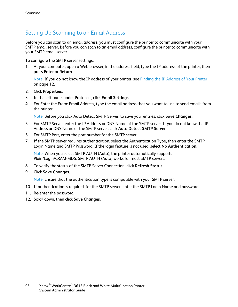#### Setting Up Scanning to an Email Address

<span id="page-95-0"></span>Before you can scan to an email address, you must configure the printer to communicate with your SMTP email server. Before you can scan to an email address, configure the printer to communicate with your SMTP email server.

To configure the SMTP server settings:

1. At your computer, open a Web browser, in the address field, type the IP address of the printer, then press **Enter** or **Return**.

Note: If you do not know the IP address of your printer, see Finding the IP Address of Your Printer on page [12.](#page-11-0)

- 2. Click **Properties**.
- 3. In the left pane, under Protocols, click **Email Settings**.
- 4. For Enter the From: Email Address, type the email address that you want to use to send emails from the printer.

Note: Before you click Auto Detect SMTP Server, to save your entries, click **Save Changes**.

- 5. For SMTP Server, enter the IP Address or DNS Name of the SMTP server. If you do not know the IP Address or DNS Name of the SMTP server, click **Auto Detect SMTP Server**.
- 6. For SMTP Port, enter the port number for the SMTP server.
- 7. If the SMTP server requires authentication, select the Authentication Type, then enter the SMTP Login Name and SMTP Password. If the login feature is not used, select **No Authentication**.

Note: When you select SMTP AUTH (Auto), the printer automatically supports Plain/Login/CRAM-MD5. SMTP AUTH (Auto) works for most SMTP servers.

- 8. To verify the status of the SMTP Server Connection, click **Refresh Status**.
- 9. Click **Save Changes**.

Note: Ensure that the authentication type is compatible with your SMTP server.

- 10. If authentication is required, for the SMTP server, enter the SMTP Login Name and password.
- 11. Re-enter the password.
- 12. Scroll down, then click **Save Changes**.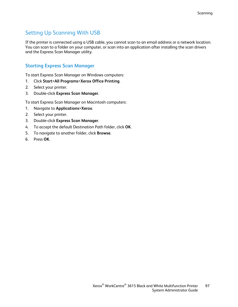#### Setting Up Scanning With USB

<span id="page-96-0"></span>If the printer is connected using a USB cable, you cannot scan to an email address or a network location. You can scan to a folder on your computer, or scan into an application after installing the scan drivers and the Express Scan Manager utility.

#### **Starting Express Scan Manager**

To start Express Scan Manager on Windows computers:

- 1. Click **Start**>**All Programs**>**Xerox Office Printing**.
- 2. Select your printer.
- 3. Double-click **Express Scan Manager**.

To start Express Scan Manager on Macintosh computers:

- 1. Navigate to **Applications**>**Xerox**.
- 2. Select your printer.
- 3. Double-click **Express Scan Manager**.
- 4. To accept the default Destination Path folder, click **OK**.
- 5. To navigate to another folder, click **Browse**.
- 6. Press **OK**.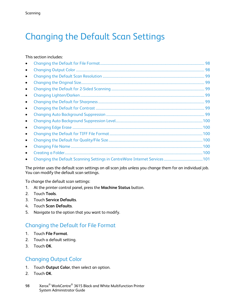# <span id="page-97-0"></span>Changing the Default Scan Settings

#### This section includes:

| $\bullet$ |    |
|-----------|----|
| $\bullet$ |    |
| $\bullet$ |    |
| $\bullet$ |    |
| $\bullet$ | 99 |
| $\bullet$ |    |
| $\bullet$ |    |
| $\bullet$ |    |
| $\bullet$ |    |
| $\bullet$ |    |
| $\bullet$ |    |
| $\bullet$ |    |
| $\bullet$ |    |
| $\bullet$ |    |
|           |    |

The printer uses the default scan settings on all scan jobs unless you change them for an individual job. You can modify the default scan settings.

To change the default scan settings:

- 1. At the printer control panel, press the **Machine Status** button.
- 2. Touch **Tools**.
- 3. Touch **Service Defaults**.
- 4. Touch **Scan Defaults**.
- <span id="page-97-1"></span>5. Navigate to the option that you want to modify.

#### Changing the Default for File Format

- 1. Touch **File Format**.
- 2. Touch a default setting.
- <span id="page-97-2"></span>3. Touch **OK**.

#### Changing Output Color

- 1. Touch **Output Color**, then select an option.
- 2. Touch **OK**.
- 98 Xerox<sup>®</sup> WorkCentre<sup>®</sup> 3615 Black and White Multifunction Printer System Administrator Guide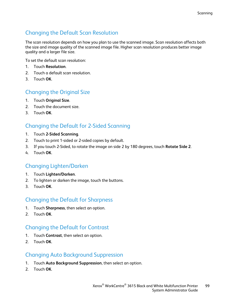#### Changing the Default Scan Resolution

<span id="page-98-0"></span>The scan resolution depends on how you plan to use the scanned image. Scan resolution affects both the size and image quality of the scanned image file. Higher scan resolution produces better image quality and a larger file size.

To set the default scan resolution:

- 1. Touch **Resolution**.
- 2. Touch a default scan resolution.
- <span id="page-98-1"></span>3. Touch **OK**.

#### Changing the Original Size

- 1. Touch **Original Size**.
- 2. Touch the document size.
- <span id="page-98-2"></span>3. Touch **OK**.

#### Changing the Default for 2-Sided Scanning

- 1. Touch **2-Sided Scanning**.
- 2. Touch to print 1-sided or 2-sided copies by default.
- 3. If you touch 2-Sided, to rotate the image on side 2 by 180 degrees, touch **Rotate Side 2**.
- <span id="page-98-3"></span>4. Touch **OK**.

#### Changing Lighten/Darken

- 1. Touch **Lighten/Darken**.
- 2. To lighten or darken the image, touch the buttons.
- <span id="page-98-4"></span>3. Touch **OK**.

#### Changing the Default for Sharpness

- 1. Touch **Sharpness**, then select an option.
- <span id="page-98-5"></span>2. Touch **OK**.

#### Changing the Default for Contrast

- 1. Touch **Contrast**, then select an option.
- <span id="page-98-6"></span>2. Touch **OK**.

#### Changing Auto Background Suppression

- 1. Touch **Auto Background Suppression**, then select an option.
- 2. Touch **OK**.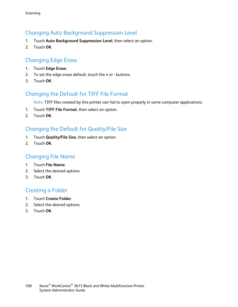#### Changing Auto Background Suppression Level

- <span id="page-99-0"></span>1. Touch **Auto Background Suppression Level**, then select an option.
- <span id="page-99-1"></span>2. Touch **OK**.

#### Changing Edge Erase

- 1. Touch **Edge Erase**.
- 2. To set the edge erase default, touch the **+** or **-** buttons.
- <span id="page-99-2"></span>3. Touch **OK**.

#### Changing the Default for TIFF File Format

Note: TIFF files created by this printer can fail to open properly in some computer applications.

- 1. Touch **TIFF File Format**, then select an option.
- <span id="page-99-3"></span>2. Touch **OK**.

#### Changing the Default for Quality/File Size

- 1. Touch **Quality/File Size**, then select an option.
- <span id="page-99-4"></span>2. Touch **OK**.

#### Changing File Name

- 1. Touch **File Name**.
- 2. Select the desired options.
- <span id="page-99-5"></span>3. Touch **OK**.

#### Creating a Folder

- 1. Touch **Create Folder**.
- 2. Select the desired options.
- 3. Touch **OK**.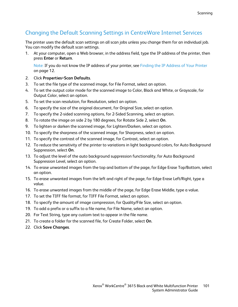#### Changing the Default Scanning Settings in CentreWare Internet Services

<span id="page-100-0"></span>The printer uses the default scan settings on all scan jobs unless you change them for an individual job. You can modify the default scan settings.

1. At your computer, open a Web browser, in the address field, type the IP address of the printer, then press **Enter** or **Return**.

Note: If you do not know the IP address of your printer, see Finding the IP Address of Your Printer on page [12.](#page-11-0)

- 2. Click **Properties**>**Scan Defaults**.
- 3. To set the file type of the scanned image, for File Format, select an option.
- 4. To set the output color mode for the scanned image to Color, Black and White, or Grayscale, for Output Color, select an option.
- 5. To set the scan resolution, for Resolution, select an option.
- 6. To specify the size of the original document, for Original Size, select an option.
- 7. To specify the 2-sided scanning options, for 2-Sided Scanning, select an option.
- 8. To rotate the image on side 2 by 180 degrees, for Rotate Side 2, select **On**.
- 9. To lighten or darken the scanned image, for Lighten/Darken, select an option.
- 10. To specify the sharpness of the scanned image, for Sharpness, select an option.
- 11. To specify the contrast of the scanned image, for Contrast, select an option.
- 12. To reduce the sensitivity of the printer to variations in light background colors, for Auto Background Suppression, select **On**.
- 13. To adjust the level of the auto background suppression functionality, for Auto Background Suppression Level, select an option.
- 14. To erase unwanted images from the top and bottom of the page, for Edge Erase Top/Bottom, select an option.
- 15. To erase unwanted images from the left and right of the page, for Edge Erase Left/Right, type a value.
- 16. To erase unwanted images from the middle of the page, for Edge Erase Middle, type a value.
- 17. To set the TIFF file format, for TIFF File Format, select an option.
- 18. To specify the amount of image compression, for Quality/File Size, select an option.
- 19. To add a prefix or a suffix to a file name, for File Name, select an option.
- 20. For Text String, type any custom text to appear in the file name.
- 21. To create a folder for the scanned file, for Create Folder, select **On**.
- 22. Click **Save Changes**.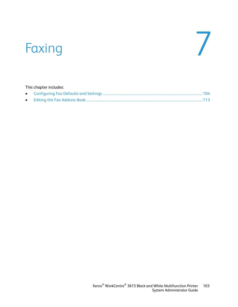# Faxing 7

#### This chapter includes: • [Configuring Fax Defaults and Settings.](#page-103-0)..................................................................................................................[.104](#page-103-0) • [Editing the Fax Address Book](#page-112-0) ......................................................................................................................................[.113](#page-112-0)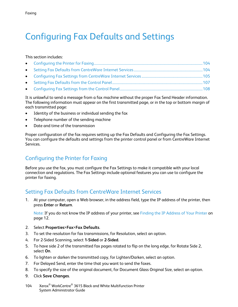## <span id="page-103-0"></span>Configuring Fax Defaults and Settings

#### This section includes:

It is unlawful to send a message from a fax machine without the proper Fax Send Header information. The following information must appear on the first transmitted page, or in the top or bottom margin of each transmitted page:

- Identity of the business or individual sending the fax
- Telephone number of the sending machine
- Date and time of the transmission

Proper configuration of the fax requires setting up the Fax Defaults and Configuring the Fax Settings. You can configure the defaults and settings from the printer control panel or from CentreWare Internet Services.

#### <span id="page-103-1"></span>Configuring the Printer for Faxing

Before you use the fax, you must configure the Fax Settings to make it compatible with your local connection and regulations. The Fax Settings include optional features you can use to configure the printer for faxing.

#### <span id="page-103-2"></span>Setting Fax Defaults from CentreWare Internet Services

1. At your computer, open a Web browser, in the address field, type the IP address of the printer, then press **Enter** or **Return**.

Note: If you do not know the IP address of your printer, see Finding the IP Address of Your Printer on pag[e 12.](#page-11-0)

- 2. Select **Properties**>**Fax**>**Fax Defaults**.
- 3. To set the resolution for fax transmissions, for Resolution, select an option.
- 4. For 2-Sided Scanning, select **1-Sided** or **2-Sided**.
- 5. To have side 2 of the transmitted fax pages rotated to flip on the long edge, for Rotate Side 2, select **On**.
- 6. To lighten or darken the transmitted copy, for Lighten/Darken, select an option.
- 7. For Delayed Send, enter the time that you want to send the faxes.
- 8. To specify the size of the original document, for Document Glass Original Size, select an option.
- 9. Click **Save Changes**.
- 104 Xerox® WorkCentre® 3615 Black and White Multifunction Printer System Administrator Guide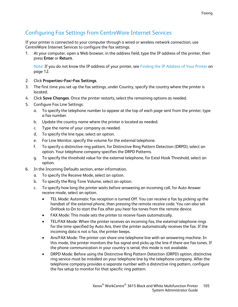#### Configuring Fax Settings from CentreWare Internet Services

<span id="page-104-0"></span>If your printer is connected to your computer through a wired or wireless network connection, use CentreWare Internet Services to configure the fax settings.

1. At your computer, open a Web browser, in the address field, type the IP address of the printer, then press **Enter** or **Return**.

Note: If you do not know the IP address of your printer, see Finding the IP Address of Your Printer on pag[e 12.](#page-11-0)

- 2. Click **Properties**>**Fax**>**Fax Settings**.
- 3. The first time you set up the fax settings, under Country, specify the country where the printer is located.
- 4. Click **Save Changes**. Once the printer restarts, select the remaining options as needed.
- 5. Configure Fax Line Settings:
	- a. To specify the telephone number to appear at the top of each page sent from the printer, type a fax number.
	- b. Update the country name where the printer is located as needed.
	- c. Type the name of your company as needed.
	- d. To specify the line type, select an option.
	- e. For Line Monitor, specify the volume for the external telephone.
	- f. To specify a distinctive ring pattern, for Distinctive Ring Pattern Detection (DRPD), select an option. Your telephone company specifies the DRPD Patterns.
	- g. To specify the threshold value for the external telephone, for Extel Hook Threshold, select an option.
- 6. In the Incoming Defaults section, enter information.
	- a. To specify the Receive Mode, select an option.
	- b. To specify the Ring Tone Volume, select an option.
	- c. To specify how long the printer waits before answering an incoming call, for Auto Answer receive mode, select an option.
		- TEL Mode: Automatic fax reception is turned Off. You can receive a fax by picking up the handset of the external phone, then pressing the remote receive code. You can also set OnHook to On to start the Fax after you hear fax tones from the remote device.
		- FAX Mode: This mode sets the printer to receive faxes automatically.
		- TEL/FAX Mode: When the printer receives an incoming fax, the external telephone rings for the time specified by Auto Ans, then the printer automatically receives the fax. If the incoming data is not a fax, the printer beeps.
		- Ans/FAX Mode: The printer can share one telephone line with an answering machine. In this mode, the printer monitors the fax signal and picks up the line if there are fax tones. If the phone communication in your country is serial, this mode is not available.
		- DRPD Mode: Before using the Distinctive Ring Pattern Detection (DRPD) option, distinctive ring service must be installed on your telephone line by the telephone company. After the telephone company provides a separate number with a distinctive ring pattern, configure the fax setup to monitor for that specific ring pattern.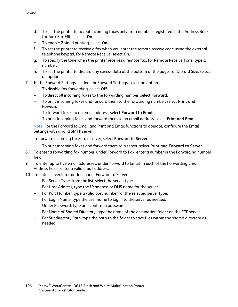- d. To set the printer to accept incoming faxes only from numbers registered in the Address Book, for Junk Fax Filter, select **On**.
- e. To enable 2-sided printing, select **On**.
- f. To set the printer to receive a fax when you enter the remote receive code using the external telephone keypad, for Remote Receive, select **On**.
- g. To specify the tone when the printer receives a remote fax, for Remote Receive Tone, type a number.
- h. To set the printer to discard any excess data at the bottom of the page, for Discard Size, select an option.
- 7. In the Forward Settings section, for Forward Settings, select an option.
	- − To disable fax forwarding, select **Off**.
	- − To direct all incoming faxes to the forwarding number, select **Forward**.
	- − To print incoming faxes and forward them to the forwarding number, select **Print and Forward**.
	- − To forward faxes to an email address, select **Forward to Email**.
	- − To print incoming faxes and forward them to an email address, select **Print and Email**.

Note: For the Forward to Email and Print and Email functions to operate, configure the Email Settings with a valid SMTP server.

To forward incoming faxes to a server, select **Forward to Server**.

- − To print incoming faxes and forward them to a server, select **Print and Forward to Server**.
- 8. To enter a forwarding fax number, under Forward to Fax, enter a number in the Forwarding number field.
- 9. To enter up to five email addresses, under Forward to Email, in each of the Forwarding Email Address fields, enter a valid email address.
- 10. To enter server information, under Forward to Server:
	- − For Server Type, from the list, select the server type.
	- − For Host Address, type the IP address or DNS name for the server.
	- − For Port Number, type a valid port number for the selected server type.
	- − For Login Name, type the user name to log in to the server as needed.
	- − Under Password, type and confirm a password.
	- − For Name of Shared Directory, type the name of the destination folder on the FTP server.
	- For Subdirectory Path, type the path to the folder to save files within the shared directory as needed.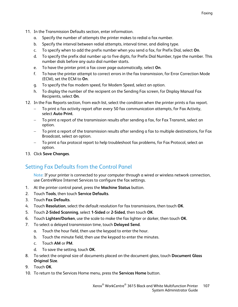- 11. In the Transmission Defaults section, enter information.
	- a. Specify the number of attempts the printer makes to redial a fax number.
	- b. Specify the interval between redial attempts, interval timer, and dialing type.
	- c. To specify when to add the prefix number when you send a fax, for Prefix Dial, select **On**.
	- d. To specify the prefix dial number up to five digits, for Prefix Dial Number, type the number. This number dials before any auto dial number starts.
	- e. To have the printer print a fax cover page automatically, select **On**.
	- f. To have the printer attempt to correct errors in the fax transmission, for Error Correction Mode (ECM), set the ECM to **On**.
	- g. To specify the fax modem speed, for Modem Speed, select an option.
	- h. To display the number of the recipient on the Sending Fax screen, for Display Manual Fax Recipients, select **On**.
- 12. In the Fax Reports section, from each list, select the condition when the printer prints a fax report.
	- To print a fax activity report after every 50 fax communication attempts, for Fax Activity, select **Auto Print**.
	- To print a report of the transmission results after sending a fax, for Fax Transmit, select an option.
	- To print a report of the transmission results after sending a fax to multiple destinations, for Fax Broadcast, select an option.
	- To print a fax protocol report to help troubleshoot fax problems, for Fax Protocol, select an option.
- <span id="page-106-0"></span>13. Click **Save Changes**.

#### Setting Fax Defaults from the Control Panel

Note: If your printer is connected to your computer through a wired or wireless network connection, use CentreWare Internet Services to configure the fax settings.

- 1. At the printer control panel, press the **Machine Status** button.
- 2. Touch **Tools**, then touch **Service Defaults**.
- 3. Touch **Fax Defaults**.
- 4. Touch **Resolution**, select the default resolution for fax transmissions, then touch **OK**.
- 5. Touch **2-Sided Scanning**, select **1-Sided** or **2-Sided**, then touch **OK**.
- 6. Touch **Lighten/Darken**, use the scale to make the fax lighter or darker, then touch **OK**.
- 7. To select a delayed transmission time, touch **Delayed Send**.
	- a. Touch the hour field, then use the keypad to enter the hour.
	- b. Touch the minute field, then use the keypad to enter the minutes.
	- c. Touch **AM** or **PM**.
	- d. To save the setting, touch **OK**.
- 8. To select the original size of documents placed on the document glass, touch **Document Glass Original Size**.
- 9. Touch **OK**.
- 10. To return to the Services Home menu, press the **Services Home** button.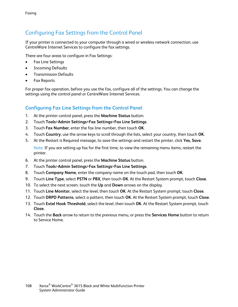#### Configuring Fax Settings from the Control Panel

<span id="page-107-0"></span>If your printer is connected to your computer through a wired or wireless network connection, use CentreWare Internet Services to configure the fax settings.

There are four areas to configure in Fax Settings:

- Fax Line Settings
- Incoming Defaults
- Transmission Defaults
- Fax Reports

For proper fax operation, before you use the fax, configure all of the settings. You can change the settings using the control panel or CentreWare Internet Services.

#### **Configuring Fax Line Settings from the Control Panel**

- 1. At the printer control panel, press the **Machine Status** button.
- 2. Touch **Tools**>**Admin Settings**>**Fax Settings**>**Fax Line Settings**.
- 3. Touch **Fax Number**, enter the fax line number, then touch **OK**.
- 4. Touch **Country**, use the arrow keys to scroll through the lists, select your country, then touch **OK**.
- 5. At the Restart is Required message, to save the settings and restart the printer, click **Yes, Save**.

Note: If you are setting up fax for the first time, to view the remaining menu items, restart the printer.

- 6. At the printer control panel, press the **Machine Status** button.
- 7. Touch **Tools**>**Admin Settings**>**Fax Settings**>**Fax Line Settings**.
- 8. Touch **Company Name**, enter the company name on the touch pad, then touch **OK**.
- 9. Touch **Line Type**, select **PSTN** or **PBX**, then touch **OK**. At the Restart System prompt, touch **Close**.
- 10. To select the next screen, touch the **Up** and **Down** arrows on the display.
- 11. Touch **Line Monitor**, select the level, then touch **OK**. At the Restart System prompt, touch **Close**.
- 12. Touch **DRPD Patterns**, select a pattern, then touch **OK**. At the Restart System prompt, touch **Close**.
- 13. Touch **Extel Hook Threshold**, select the level, then touch **OK**. At the Restart System prompt, touch **Close**.
- 14. Touch the **Back** arrow to return to the previous menu, or press the **Services Home** button to return to Service Home.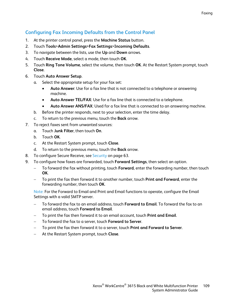#### **Configuring Fax Incoming Defaults from the Control Panel**

- 1. At the printer control panel, press the **Machine Status** button.
- 2. Touch **Tools**>**Admin Settings**>**Fax Settings**>**Incoming Defaults**.
- 3. To navigate between the lists, use the **Up** and **Down** arrows.
- 4. Touch **Receive Mode**, select a mode, then touch **OK**.
- 5. Touch **Ring Tone Volume**, select the volume, then touch **OK**. At the Restart System prompt, touch **Close**.
- 6. Touch **Auto Answer Setup**.
	- a. Select the appropriate setup for your fax set:
		- **Auto Answer**: Use for a fax line that is not connected to a telephone or answering machine.
		- **Auto Answer TEL/FAX**: Use for a fax line that is connected to a telephone.
		- **Auto Answer ANS/FAX**: Used for a fax line that is connected to an answering machine.
	- b. Before the printer responds, next to your selection, enter the time delay.
	- c. To return to the previous menu, touch the **Back** arrow.
- 7. To reject faxes sent from unwanted sources:
	- a. Touch **Junk Filter**, then touch **On**.
	- b. Touch **OK**.
	- c. At the Restart System prompt, touch **Close**.
	- d. To return to the previous menu, touch the **Back** arrow.
- 8. To configure Secure Receive, see Security on page [63.](#page-62-0)
- 9. To configure how faxes are forwarded, touch **Forward Settings**, then select an option.
	- − To forward the fax without printing, touch **Forward**, enter the forwarding number, then touch **OK**.
	- − To print the fax then forward it to another number, touch **Print and Forward**, enter the forwarding number, then touch **OK**.

Note: For the Forward to Email and Print and Email functions to operate, configure the Email Settings with a valid SMTP server.

- − To forward the fax to an email address, touch **Forward to Email**. To forward the fax to an email address, touch **Forward to Email**.
- − To print the fax then forward it to an email account, touch **Print and Email**.
- − To forward the fax to a server, touch **Forward to Server**.
- − To print the fax then forward it to a server, touch **Print and Forward to Server**.
- − At the Restart System prompt, touch **Close**.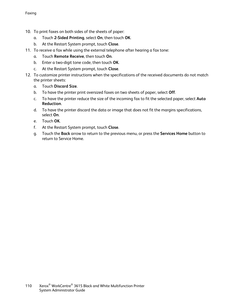- 10. To print faxes on both sides of the sheets of paper:
	- a. Touch **2-Sided Printing**, select **On**, then touch **OK**.
	- b. At the Restart System prompt, touch **Close**.
- 11. To receive a fax while using the external telephone after hearing a fax tone:
	- a. Touch **Remote Receive**, then touch **On**.
	- b. Enter a two-digit tone code, then touch **OK**.
	- c. At the Restart System prompt, touch **Close**.
- 12. To customize printer instructions when the specifications of the received documents do not match the printer sheets:
	- a. Touch **Discard Size**.
	- b. To have the printer print oversized faxes on two sheets of paper, select **Off**.
	- c. To have the printer reduce the size of the incoming fax to fit the selected paper, select **Auto Reduction**.
	- d. To have the printer discard the data or image that does not fit the margins specifications, select **On**.
	- e. Touch **OK**.
	- f. At the Restart System prompt, touch **Close**.
	- g. Touch the **Back** arrow to return to the previous menu, or press the **Services Home** button to return to Service Home.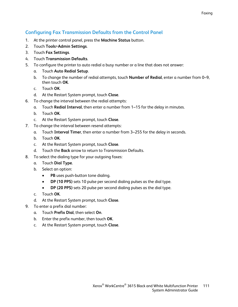#### **Configuring Fax Transmission Defaults from the Control Panel**

- 1. At the printer control panel, press the **Machine Status** button.
- 2. Touch **Tools**>**Admin Settings**.
- 3. Touch **Fax Settings**.
- 4. Touch **Transmission Defaults**.
- 5. To configure the printer to auto redial a busy number or a line that does not answer:
	- a. Touch **Auto Redial Setup**.
	- b. To change the number of redial attempts, touch **Number of Redial**, enter a number from 0–9, then touch **OK**.
	- c. Touch **OK**.
	- d. At the Restart System prompt, touch **Close**.
- 6. To change the interval between the redial attempts:
	- a. Touch **Redial Interval**, then enter a number from 1–15 for the delay in minutes.
	- b. Touch **OK**.
	- c. At the Restart System prompt, touch **Close**.
- 7. To change the interval between resend attempts:
	- a. Touch **Interval Timer**, then enter a number from 3–255 for the delay in seconds.
	- b. Touch **OK**.
	- c. At the Restart System prompt, touch **Close**.
	- d. Touch the **Back** arrow to return to Transmission Defaults.
- 8. To select the dialing type for your outgoing faxes:
	- a. Touch **Dial Type**.
	- b. Select an option:
		- **PB** uses push-button tone dialing.
		- **DP (10 PPS)** sets 10 pulse per second dialing pulses as the dial type.
		- **DP (20 PPS)** sets 20 pulse per second dialing pulses as the dial type.
	- c. Touch **OK**.
	- d. At the Restart System prompt, touch **Close**.
- 9. To enter a prefix dial number:
	- a. Touch **Prefix Dial**, then select **On**.
	- b. Enter the prefix number, then touch **OK**.
	- c. At the Restart System prompt, touch **Close**.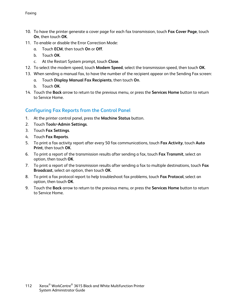- 10. To have the printer generate a cover page for each fax transmission, touch **Fax Cover Page**, touch **On**, then touch **OK**.
- 11. To enable or disable the Error Correction Mode:
	- a. Touch **ECM**, then touch **On** or **Off**.
	- b. Touch **OK**.
	- c. At the Restart System prompt, touch **Close**.
- 12. To select the modem speed, touch **Modem Speed**, select the transmission speed, then touch **OK**.
- 13. When sending a manual fax, to have the number of the recipient appear on the Sending Fax screen:
	- a. Touch **Display Manual Fax Recipients**, then touch **On**.
	- b. Touch **OK**.
- 14. Touch the **Back** arrow to return to the previous menu, or press the **Services Home** button to return to Service Home.

#### **Configuring Fax Reports from the Control Panel**

- 1. At the printer control panel, press the **Machine Status** button.
- 2. Touch **Tools**>**Admin Settings**.
- 3. Touch **Fax Settings**.
- 4. Touch **Fax Reports**.
- 5. To print a fax activity report after every 50 fax communications, touch **Fax Activity**, touch **Auto Print**, then touch **OK**.
- 6. To print a report of the transmission results after sending a fax, touch **Fax Transmit**, select an option, then touch **OK**.
- 7. To print a report of the transmission results after sending a fax to multiple destinations, touch **Fax Broadcast**, select an option, then touch **OK**.
- 8. To print a fax protocol report to help troubleshoot fax problems, touch **Fax Protocol**, select an option, then touch **OK**.
- 9. Touch the **Back** arrow to return to the previous menu, or press the **Services Home** button to return to Service Home.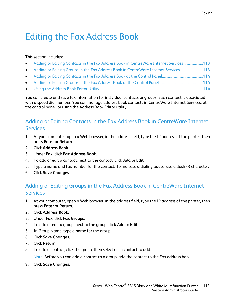# Editing the Fax Address Book

#### This section includes:

| • Adding or Editing Contacts in the Fax Address Book in CentreWare Internet Services 113 |  |
|------------------------------------------------------------------------------------------|--|
| • Adding or Editing Groups in the Fax Address Book in CentreWare Internet Services113    |  |
|                                                                                          |  |
|                                                                                          |  |
|                                                                                          |  |

You can create and save fax information for individual contacts or groups. Each contact is associated with a speed dial number. You can manage address book contacts in CentreWare Internet Services, at the control panel, or using the Address Book Editor utility.

# <span id="page-112-0"></span>Adding or Editing Contacts in the Fax Address Book in CentreWare Internet Services

- 1. At your computer, open a Web browser, in the address field, type the IP address of the printer, then press **Enter** or **Return**.
- 2. Click **Address Book**.
- 3. Under **Fax**, click **Fax Address Book**.
- 4. To add or edit a contact, next to the contact, click **Add** or **Edit**.
- 5. Type a name and fax number for the contact. To indicate a dialing pause, use a dash (**-**) character.
- <span id="page-112-1"></span>6. Click **Save Changes**.

# Adding or Editing Groups in the Fax Address Book in CentreWare Internet **Services**

- 1. At your computer, open a Web browser, in the address field, type the IP address of the printer, then press **Enter** or **Return**.
- 2. Click **Address Book**.
- 3. Under **Fax**, click **Fax Groups**.
- 4. To add or edit a group, next to the group, click **Add** or **Edit**.
- 5. In Group Name, type a name for the group.
- 6. Click **Save Changes**.
- 7. Click **Return**.
- 8. To add a contact, click the group, then select each contact to add.

Note: Before you can add a contact to a group, add the contact to the Fax address book.

9. Click **Save Changes**.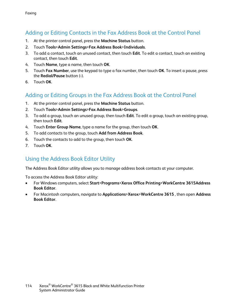# Adding or Editing Contacts in the Fax Address Book at the Control Panel

- <span id="page-113-0"></span>1. At the printer control panel, press the **Machine Status** button.
- 2. Touch **Tools**>**Admin Settings**>**Fax Address Book**>**Individuals**.
- 3. To add a contact, touch an unused contact, then touch **Edit**. To edit a contact, touch an existing contact, then touch **Edit**.
- 4. Touch **Name**, type a name, then touch **OK**.
- 5. Touch **Fax Number**, use the keypad to type a fax number, then touch **OK**. To insert a pause, press the **Redial/Pause** button (**-**).
- <span id="page-113-1"></span>6. Touch **OK**.

### Adding or Editing Groups in the Fax Address Book at the Control Panel

- 1. At the printer control panel, press the **Machine Status** button.
- 2. Touch **Tools**>**Admin Settings**>**Fax Address Book**>**Groups**.
- 3. To add a group, touch an unused group, then touch **Edit**. To edit a group, touch an existing group, then touch **Edit**.
- 4. Touch **Enter Group Name**, type a name for the group, then touch **OK**.
- 5. To add contacts to the group, touch **Add from Address Book**.
- 6. Touch the contacts to add to the group, then touch **OK**.
- <span id="page-113-2"></span>7. Touch **OK**.

#### Using the Address Book Editor Utility

The Address Book Editor utility allows you to manage address book contacts at your computer.

To access the Address Book Editor utility:

- For Windows computers, select **Start**>**Programs**>**Xerox Office Printing**>**WorkCentre 3615Address Book Editor**.
- For Macintosh computers, navigate to **Applications**>**Xerox**>**WorkCentre 3615** , then open **Address Book Editor**.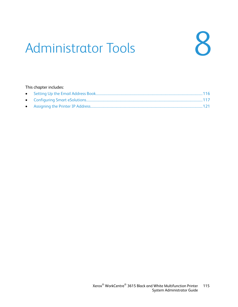# Administrator Tools



#### This chapter includes: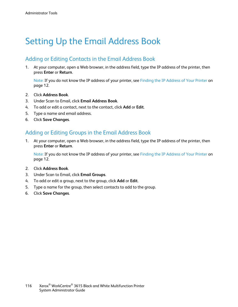# <span id="page-115-0"></span>Setting Up the Email Address Book

## Adding or Editing Contacts in the Email Address Book

1. At your computer, open a Web browser, in the address field, type the IP address of the printer, then press **Enter** or **Return**.

Note: If you do not know the IP address of your printer, see Finding the IP Address of Your Printer on pag[e 12.](#page-11-0)

- 2. Click **Address Book**.
- 3. Under Scan to Email, click **Email Address Book**.
- 4. To add or edit a contact, next to the contact, click **Add** or **Edit**.
- 5. Type a name and email address.
- 6. Click **Save Changes**.

### Adding or Editing Groups in the Email Address Book

1. At your computer, open a Web browser, in the address field, type the IP address of the printer, then press **Enter** or **Return**.

Note: If you do not know the IP address of your printer, see Finding the IP Address of Your Printer on pag[e 12.](#page-11-0)

- 2. Click **Address Book**.
- 3. Under Scan to Email, click **Email Groups**.
- 4. To add or edit a group, next to the group, click **Add** or **Edit**.
- 5. Type a name for the group, then select contacts to add to the group.
- 6. Click **Save Changes**.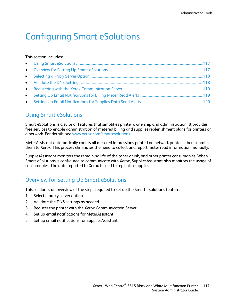# <span id="page-116-0"></span>Configuring Smart eSolutions

#### This section includes:

## <span id="page-116-1"></span>Using Smart eSolutions

Smart eSolutions is a suite of features that simplifies printer ownership and administration. It provides free services to enable administration of metered billing and supplies replenishment plans for printers on a network. For details, see [www.xerox.com/smartesolutions.](http://www.xerox.com/smartesolutions)

MeterAssistant automatically counts all metered impressions printed on network printers, then submits them to Xerox. This process eliminates the need to collect and report meter read information manually.

SuppliesAssistant monitors the remaining life of the toner or ink, and other printer consumables. When Smart eSolutions is configured to communicate with Xerox, SuppliesAssistant also monitors the usage of consumables. The data reported to Xerox is used to replenish supplies.

# <span id="page-116-2"></span>Overview for Setting Up Smart eSolutions

This section is an overview of the steps required to set up the Smart eSolutions feature.

- 1. Select a proxy server option.
- 2. Validate the DNS settings as needed.
- 3. Register the printer with the Xerox Communication Server.
- 4. Set up email notifications for MeterAssistant.
- 5. Set up email notifications for SuppliesAssistant.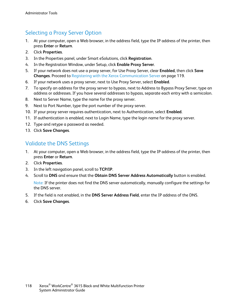# Selecting a Proxy Server Option

- <span id="page-117-0"></span>1. At your computer, open a Web browser, in the address field, type the IP address of the printer, then press **Enter** or **Return**.
- 2. Click **Properties**.
- 3. In the Properties panel, under Smart eSolutions, click **Registration**.
- 4. In the Registration Window, under Setup, click **Enable Proxy Server**.
- 5. If your network does not use a proxy server, for Use Proxy Server, clear **Enabled**, then click **Save Changes**. Proceed to Registering with the Xerox Communication Server on page [119.](#page-118-0)
- 6. If your network uses a proxy server, next to Use Proxy Server, select **Enabled**.
- 7. To specify an address for the proxy server to bypass, next to Address to Bypass Proxy Server, type an address or addresses. If you have several addresses to bypass, separate each entry with a semicolon.
- 8. Next to Server Name, type the name for the proxy server.
- 9. Next to Port Number, type the port number of the proxy server.
- 10. If your proxy server requires authentication, next to Authentication, select **Enabled**.
- 11. If authentication is enabled, next to Login Name, type the login name for the proxy server.
- 12. Type and retype a password as needed.
- <span id="page-117-1"></span>13. Click **Save Changes**.

# Validate the DNS Settings

- 1. At your computer, open a Web browser, in the address field, type the IP address of the printer, then press **Enter** or **Return**.
- 2. Click **Properties**.
- 3. In the left navigation panel, scroll to **TCP/IP**.
- 4. Scroll to **DNS** and ensure that the **Obtain DNS Server Address Automatically** button is enabled.

Note: If the printer does not find the DNS server automatically, manually configure the settings for the DNS server.

- 5. If the field is not enabled, in the **DNS Server Address Field**, enter the IP address of the DNS.
- 6. Click **Save Changes**.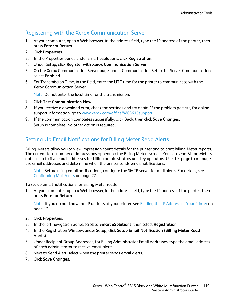## Registering with the Xerox Communication Server

- <span id="page-118-0"></span>1. At your computer, open a Web browser, in the address field, type the IP address of the printer, then press **Enter** or **Return**.
- 2. Click **Properties**.
- 3. In the Properties panel, under Smart eSolutions, click **Registration**.
- 4. Under Setup, click **Register with Xerox Communication Server**.
- 5. On the Xerox Communication Server page, under Communication Setup, for Server Communication, select **Enabled**.
- 6. For Transmission Time, in the field, enter the UTC time for the printer to communicate with the Xerox Communication Server.

Note: Do not enter the local time for the transmission.

- 7. Click **Test Communication Now**.
- 8. If you receive a download error, check the settings and try again. If the problem persists, for online support information, go to [www.xerox.com/office/WC3615support.](http://www.office.xerox.com/cgi-bin/printer.pl?APP=udpdfs&Page=Color&Model=WorkCentre+WC3615&PgName=tech&Language=English)
- 9. If the communication completes successfully, click **Back**, then click **Save Changes**. Setup is complete. No other action is required.

# <span id="page-118-1"></span>Setting Up Email Notifications for Billing Meter Read Alerts

Billing Meters allow you to view impression count details for the printer and to print Billing Meter reports. The current total number of impressions appear on the Billing Meters screen. You can send Billing Meters data to up to five email addresses for billing administrators and key operators. Use this page to manage the email addresses and determine when the printer sends email notifications.

Note: Before using email notifications, configure the SMTP server for mail alerts. For details, see Configuring Mail Alerts on page [27.](#page-26-0)

To set up email notifications for Billing Meter reads:

1. At your computer, open a Web browser, in the address field, type the IP address of the printer, then press **Enter** or **Return**.

Note: If you do not know the IP address of your printer, see Finding the IP Address of Your Printer on pag[e 12.](#page-11-0)

- 2. Click **Properties**.
- 3. In the left navigation panel, scroll to **Smart eSolutions**, then select **Registration**.
- 4. In the Registration Window, under Setup, click **Setup Email Notification (Billing Meter Read Alerts)**.
- 5. Under Recipient Group Addresses, for Billing Administrator Email Addresses, type the email address of each administrator to receive email alerts.
- 6. Next to Send Alert, select when the printer sends email alerts.
- 7. Click **Save Changes**.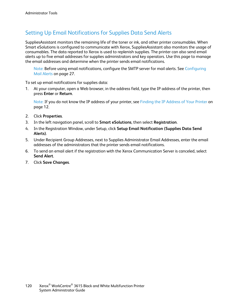# Setting Up Email Notifications for Supplies Data Send Alerts

<span id="page-119-0"></span>SuppliesAssistant monitors the remaining life of the toner or ink, and other printer consumables. When Smart eSolutions is configured to communicate with Xerox, SuppliesAssistant also monitors the usage of consumables. The data reported to Xerox is used to replenish supplies. The printer can also send email alerts up to five email addresses for supplies administrators and key operators. Use this page to manage the email addresses and determine when the printer sends email notifications.

Note: Before using email notifications, configure the SMTP server for mail alerts. See Configuring Mail Alerts on page [27.](#page-26-0)

To set up email notifications for supplies data:

1. At your computer, open a Web browser, in the address field, type the IP address of the printer, then press **Enter** or **Return**.

Note: If you do not know the IP address of your printer, see Finding the IP Address of Your Printer on pag[e 12.](#page-11-0)

- 2. Click **Properties**.
- 3. In the left navigation panel, scroll to **Smart eSolutions**, then select **Registration**.
- 4. In the Registration Window, under Setup, click **Setup Email Notification (Supplies Data Send Alerts)**.
- 5. Under Recipient Group Addresses, next to Supplies Administrator Email Addresses, enter the email addresses of the administrators that the printer sends email notifications.
- 6. To send an email alert if the registration with the Xerox Communication Server is canceled, select **Send Alert**.
- 7. Click **Save Changes**.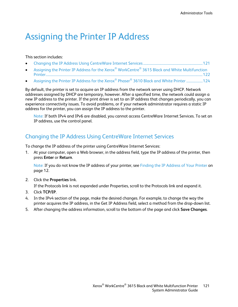# <span id="page-120-0"></span>Assigning the Printer IP Address

#### This section includes:

- [Changing the IP Address Using CentreWare Internet Services.](#page-120-1)...................................................................[.121](#page-120-1)
- [Assigning the Printer IP Address for the Xerox](#page-121-0)® WorkCentre® 3615 Black and White Multifunction [Printer..](#page-121-0)...................................................................................................................................................................................[.122](#page-121-0)
- [Assigning the Printer IP Address for the Xerox](#page-123-0)® Phaser® 3610 Black and White Printer ....................[.124](#page-123-0)

By default, the printer is set to acquire an IP address from the network server using DHCP. Network addresses assigned by DHCP are temporary, however. After a specified time, the network could assign a new IP address to the printer. If the print driver is set to an IP address that changes periodically, you can experience connectivity issues. To avoid problems, or if your network administrator requires a static IP address for the printer, you can assign the IP address to the printer.

Note: If both IPv4 and IPv6 are disabled, you cannot access CentreWare Internet Services. To set an IP address, use the control panel.

#### <span id="page-120-1"></span>Changing the IP Address Using CentreWare Internet Services

To change the IP address of the printer using CentreWare Internet Services:

1. At your computer, open a Web browser, in the address field, type the IP address of the printer, then press **Enter** or **Return**.

Note: If you do not know the IP address of your printer, see Finding the IP Address of Your Printer on pag[e 12.](#page-11-0)

2. Click the **Properties** link.

If the Protocols link is not expanded under Properties, scroll to the Protocols link and expand it.

- 3. Click **TCP/IP**.
- 4. In the IPv4 section of the page, make the desired changes. For example, to change the way the printer acquires the IP address, in the Get IP Address field, select a method from the drop-down list.
- 5. After changing the address information, scroll to the bottom of the page and click **Save Changes**.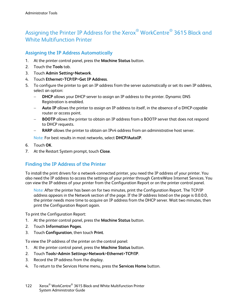# <span id="page-121-0"></span>Assigning the Printer IP Address for the Xerox® WorkCentre® 3615 Black and White Multifunction Printer

#### **Assigning the IP Address Automatically**

- 1. At the printer control panel, press the **Machine Status** button.
- 2. Touch the **Tools** tab.
- 3. Touch **Admin Setting**>**Network**.
- 4. Touch **Ethernet**>**TCP/IP**>**Get IP Address**.
- 5. To configure the printer to get an IP address from the server automatically or set its own IP address, select an option:
	- − **DHCP** allows your DHCP server to assign an IP address to the printer. Dynamic DNS Registration is enabled.
	- − **Auto IP** allows the printer to assign an IP address to itself, in the absence of a DHCP-capable router or access point.
	- **BOOTP** allows the printer to obtain an IP address from a BOOTP server that does not respond to DHCP requests.
	- **RARP** allows the printer to obtain an IPv4 address from an administrative host server.

Note: For best results in most networks, select **DHCP/AutoIP**.

- 6. Touch **OK**.
- 7. At the Restart System prompt, touch **Close**.

#### **Finding the IP Address of the Printer**

To install the print drivers for a network-connected printer, you need the IP address of your printer. You also need the IP address to access the settings of your printer through CentreWare Internet Services. You can view the IP address of your printer from the Configuration Report or on the printer control panel.

Note: After the printer has been on for two minutes, print the Configuration Report. The TCP/IP address appears in the Network section of the page. If the IP address listed on the page is 0.0.0.0, the printer needs more time to acquire an IP address from the DHCP server. Wait two minutes, then print the Configuration Report again.

To print the Configuration Report:

- 1. At the printer control panel, press the **Machine Status** button.
- 2. Touch **Information Pages**.
- 3. Touch **Configuration**, then touch **Print**.

To view the IP address of the printer on the control panel:

- 1. At the printer control panel, press the **Machine Status** button.
- 2. Touch **Tools**>**Admin Settings**>**Network**>**Ethernet**>**TCP/IP**.
- 3. Record the IP address from the display.
- 4. To return to the Services Home menu, press the **Services Home** button.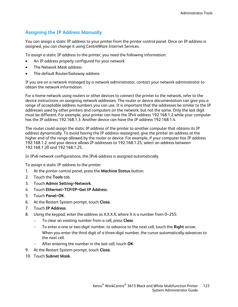#### **Assigning the IP Address Manually**

You can assign a static IP address to your printer from the printer control panel. Once an IP address is assigned, you can change it using CentreWare Internet Services.

To assign a static IP address to the printer, you need the following information:

- An IP address properly configured for your network
- The Network Mask address
- The default Router/Gateway address

If you are on a network managed by a network administrator, contact your network administrator to obtain the network information.

For a home network using routers or other devices to connect the printer to the network, refer to the device instructions on assigning network addresses. The router or device documentation can give you a range of acceptable address numbers you can use. It is important that the addresses be similar to the IP addresses used by other printers and computers on the network, but not the same. Only the last digit must be different. For example, your printer can have the IPv4 address 192.168.1.2 while your computer has the IP address 192.168.1.3. Another device can have the IP address 192.168.1.4.

The router could assign the static IP address of the printer to another computer that obtains its IP address dynamically. To avoid having the IP address reassigned, give the printer an address at the higher end of the range allowed by the router or device. For example, if your computer has IP address 192.168.1.2, and your device allows IP addresses to 192.168.1.25, select an address between 192.168.1.20 and 192.168.1.25.

In IPv6 network configurations, the IPv6 address is assigned automatically.

To assign a static IP address to the printer:

- 1. At the printer control panel, press the **Machine Status** button.
- 2. Touch the **Tools** tab.
- 3. Touch **Admin Setting**>**Network**.
- 4. Touch **Ethernet**>**TCP/IP**>**Get IP Address**.
- 5. Touch **Panel**>**OK**.
- 6. At the Restart System prompt, touch **Close**.
- 7. Touch **IP Address**.
- 8. Using the keypad, enter the address as X.X.X.X, where X is a number from 0–255:
	- − To clear an existing number from a cell, press **Clear**.
	- − To enter a one or two-digit number, to advance to the next cell, touch the **Right** arrow. When you enter the third digit of a three-digit number, the cursor automatically advances to the next cell.
	- − After entering the number in the last cell, touch **OK**.
- 9. At the Restart System prompt, touch **Close**.
- 10. Touch **Subnet Mask**.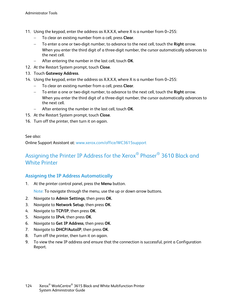- 11. Using the keypad, enter the address as X.X.X.X, where X is a number from 0–255:
	- − To clear an existing number from a cell, press **Clear**.
	- − To enter a one or two-digit number, to advance to the next cell, touch the **Right** arrow. When you enter the third digit of a three-digit number, the cursor automatically advances to the next cell.
	- − After entering the number in the last cell, touch **OK**.
- 12. At the Restart System prompt, touch **Close**.
- 13. Touch **Gateway Address**.
- 14. Using the keypad, enter the address as X.X.X.X, where X is a number from 0–255:
	- − To clear an existing number from a cell, press **Clear**.
	- − To enter a one or two-digit number, to advance to the next cell, touch the **Right** arrow. When you enter the third digit of a three-digit number, the cursor automatically advances to the next cell.
	- − After entering the number in the last cell, touch **OK**.
- 15. At the Restart System prompt, touch **Close**.
- 16. Turn off the printer, then turn it on again.

#### See also:

<span id="page-123-0"></span>Online Support Assistant at: [www.xerox.com/office/WC3615support](http://www.office.xerox.com/cgi-bin/printer.pl?APP=udpdfs&Page=Color&Model=WorkCentre+WC3615&PgName=tech&Language=English)

# Assigning the Printer IP Address for the Xerox® Phaser® 3610 Black and White Printer

#### **Assigning the IP Address Automatically**

1. At the printer control panel, press the **Menu** button.

Note: To navigate through the menu, use the up or down arrow buttons.

- 2. Navigate to **Admin Settings**, then press **OK**.
- 3. Navigate to **Network Setup**, then press **OK**.
- 4. Navigate to **TCP/IP**, then press **OK**.
- 5. Navigate to **IPv4**, then press **OK**.
- 6. Navigate to **Get IP Address**, then press **OK**.
- 7. Navigate to **DHCP/AutoIP**, then press **OK**.
- 8. Turn off the printer, then turn it on again.
- 9. To view the new IP address and ensure that the connection is successful, print a Configuration Report.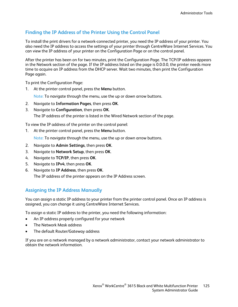#### **Finding the IP Address of the Printer Using the Control Panel**

To install the print drivers for a network-connected printer, you need the IP address of your printer. You also need the IP address to access the settings of your printer through CentreWare Internet Services. You can view the IP address of your printer on the Configuration Page or on the control panel.

After the printer has been on for two minutes, print the Configuration Page. The TCP/IP address appears in the Network section of the page. If the IP address listed on the page is 0.0.0.0, the printer needs more time to acquire an IP address from the DHCP server. Wait two minutes, then print the Configuration Page again.

To print the Configuration Page:

1. At the printer control panel, press the **Menu** button.

Note: To navigate through the menu, use the up or down arrow buttons.

- 2. Navigate to **Information Pages**, then press **OK**.
- 3. Navigate to **Configuration**, then press **OK**. The IP address of the printer is listed in the Wired Network section of the page.

To view the IP address of the printer on the control panel:

1. At the printer control panel, press the **Menu** button.

Note: To navigate through the menu, use the up or down arrow buttons.

- 2. Navigate to **Admin Settings**, then press **OK**.
- 3. Navigate to **Network Setup**, then press **OK**.
- 4. Navigate to **TCP/IP**, then press **OK**.
- 5. Navigate to **IPv4**, then press **OK**.
- 6. Navigate to **IP Address**, then press **OK**. The IP address of the printer appears on the IP Address screen.

#### **Assigning the IP Address Manually**

You can assign a static IP address to your printer from the printer control panel. Once an IP address is assigned, you can change it using CentreWare Internet Services.

To assign a static IP address to the printer, you need the following information:

- An IP address properly configured for your network
- The Network Mask address
- The default Router/Gateway address

If you are on a network managed by a network administrator, contact your network administrator to obtain the network information.